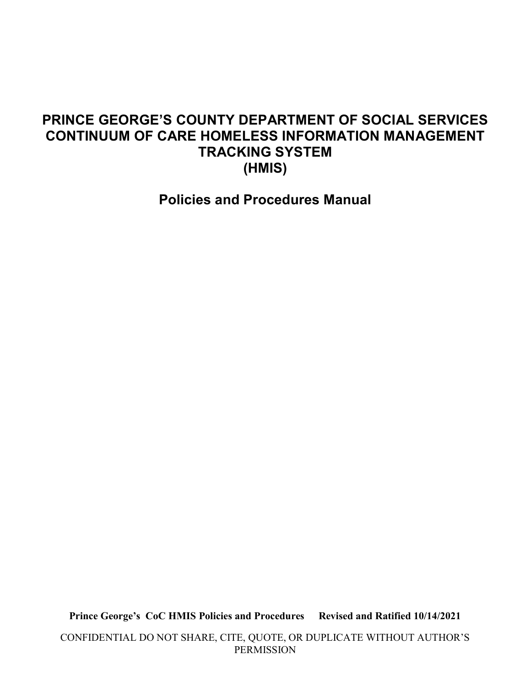### PRINCE GEORGE'S COUNTY DEPARTMENT OF SOCIAL SERVICES CONTINUUM OF CARE HOMELESS INFORMATION MANAGEMENT TRACKING SYSTEM (HMIS)

Policies and Procedures Manual

Prince George's CoC HMIS Policies and Procedures Revised and Ratified 10/14/2021

CONFIDENTIAL DO NOT SHARE, CITE, QUOTE, OR DUPLICATE WITHOUT AUTHOR'S PERMISSION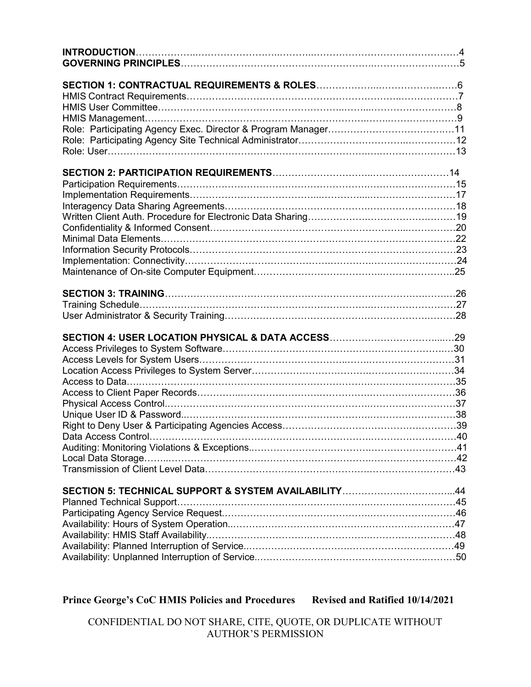| Access Privileges to System Software…………………………………………………………………30<br>SECTION 5: TECHNICAL SUPPORT & SYSTEM AVAILABILITY44 |  |
|-------------------------------------------------------------------------------------------------------------------------|--|
|                                                                                                                         |  |
|                                                                                                                         |  |
|                                                                                                                         |  |
|                                                                                                                         |  |
|                                                                                                                         |  |
|                                                                                                                         |  |
|                                                                                                                         |  |
|                                                                                                                         |  |
|                                                                                                                         |  |
|                                                                                                                         |  |
|                                                                                                                         |  |
|                                                                                                                         |  |
|                                                                                                                         |  |
|                                                                                                                         |  |
|                                                                                                                         |  |
|                                                                                                                         |  |
|                                                                                                                         |  |
|                                                                                                                         |  |
|                                                                                                                         |  |
|                                                                                                                         |  |
|                                                                                                                         |  |
|                                                                                                                         |  |
|                                                                                                                         |  |
|                                                                                                                         |  |
|                                                                                                                         |  |
|                                                                                                                         |  |
|                                                                                                                         |  |
|                                                                                                                         |  |
|                                                                                                                         |  |
|                                                                                                                         |  |
|                                                                                                                         |  |
|                                                                                                                         |  |
|                                                                                                                         |  |
|                                                                                                                         |  |
|                                                                                                                         |  |
|                                                                                                                         |  |
|                                                                                                                         |  |
|                                                                                                                         |  |
|                                                                                                                         |  |
|                                                                                                                         |  |
|                                                                                                                         |  |
|                                                                                                                         |  |

### Prince George's CoC HMIS Policies and Procedures Revised and Ratified 10/14/2021

CONFIDENTIAL DO NOT SHARE, CITE, QUOTE, OR DUPLICATE WITHOUT AUTHOR'S PERMISSION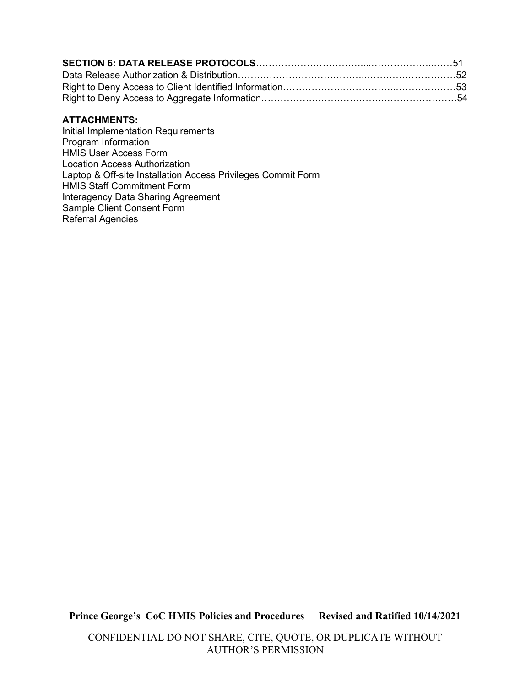#### ATTACHMENTS:

Initial Implementation Requirements Program Information HMIS User Access Form Location Access Authorization Laptop & Off-site Installation Access Privileges Commit Form HMIS Staff Commitment Form Interagency Data Sharing Agreement Sample Client Consent Form Referral Agencies

Prince George's CoC HMIS Policies and Procedures Revised and Ratified 10/14/2021

CONFIDENTIAL DO NOT SHARE, CITE, QUOTE, OR DUPLICATE WITHOUT AUTHOR'S PERMISSION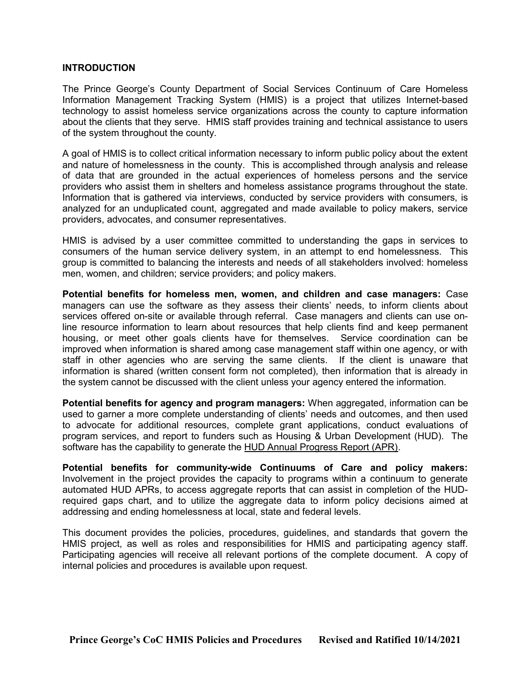#### **INTRODUCTION**

The Prince George's County Department of Social Services Continuum of Care Homeless Information Management Tracking System (HMIS) is a project that utilizes Internet-based technology to assist homeless service organizations across the county to capture information about the clients that they serve. HMIS staff provides training and technical assistance to users of the system throughout the county.

A goal of HMIS is to collect critical information necessary to inform public policy about the extent and nature of homelessness in the county. This is accomplished through analysis and release of data that are grounded in the actual experiences of homeless persons and the service providers who assist them in shelters and homeless assistance programs throughout the state. Information that is gathered via interviews, conducted by service providers with consumers, is analyzed for an unduplicated count, aggregated and made available to policy makers, service providers, advocates, and consumer representatives.

HMIS is advised by a user committee committed to understanding the gaps in services to consumers of the human service delivery system, in an attempt to end homelessness. This group is committed to balancing the interests and needs of all stakeholders involved: homeless men, women, and children; service providers; and policy makers.

Potential benefits for homeless men, women, and children and case managers: Case managers can use the software as they assess their clients' needs, to inform clients about services offered on-site or available through referral. Case managers and clients can use online resource information to learn about resources that help clients find and keep permanent housing, or meet other goals clients have for themselves. Service coordination can be improved when information is shared among case management staff within one agency, or with staff in other agencies who are serving the same clients. If the client is unaware that information is shared (written consent form not completed), then information that is already in the system cannot be discussed with the client unless your agency entered the information.

Potential benefits for agency and program managers: When aggregated, information can be used to garner a more complete understanding of clients' needs and outcomes, and then used to advocate for additional resources, complete grant applications, conduct evaluations of program services, and report to funders such as Housing & Urban Development (HUD). The software has the capability to generate the HUD Annual Progress Report (APR).

Potential benefits for community-wide Continuums of Care and policy makers: Involvement in the project provides the capacity to programs within a continuum to generate automated HUD APRs, to access aggregate reports that can assist in completion of the HUDrequired gaps chart, and to utilize the aggregate data to inform policy decisions aimed at addressing and ending homelessness at local, state and federal levels.

This document provides the policies, procedures, guidelines, and standards that govern the HMIS project, as well as roles and responsibilities for HMIS and participating agency staff. Participating agencies will receive all relevant portions of the complete document. A copy of internal policies and procedures is available upon request.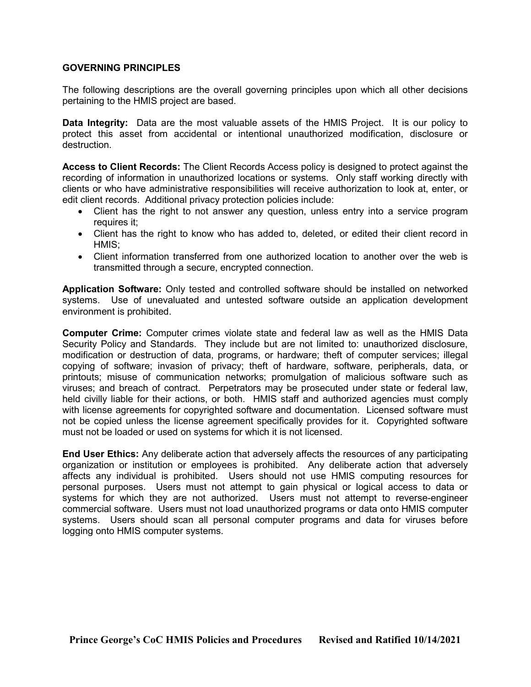#### GOVERNING PRINCIPLES

The following descriptions are the overall governing principles upon which all other decisions pertaining to the HMIS project are based.

**Data Integrity:** Data are the most valuable assets of the HMIS Project. It is our policy to protect this asset from accidental or intentional unauthorized modification, disclosure or destruction.

Access to Client Records: The Client Records Access policy is designed to protect against the recording of information in unauthorized locations or systems. Only staff working directly with clients or who have administrative responsibilities will receive authorization to look at, enter, or edit client records. Additional privacy protection policies include:

- Client has the right to not answer any question, unless entry into a service program requires it;
- Client has the right to know who has added to, deleted, or edited their client record in HMIS;
- Client information transferred from one authorized location to another over the web is transmitted through a secure, encrypted connection.

Application Software: Only tested and controlled software should be installed on networked systems. Use of unevaluated and untested software outside an application development environment is prohibited.

Computer Crime: Computer crimes violate state and federal law as well as the HMIS Data Security Policy and Standards. They include but are not limited to: unauthorized disclosure, modification or destruction of data, programs, or hardware; theft of computer services; illegal copying of software; invasion of privacy; theft of hardware, software, peripherals, data, or printouts; misuse of communication networks; promulgation of malicious software such as viruses; and breach of contract. Perpetrators may be prosecuted under state or federal law, held civilly liable for their actions, or both. HMIS staff and authorized agencies must comply with license agreements for copyrighted software and documentation. Licensed software must not be copied unless the license agreement specifically provides for it. Copyrighted software must not be loaded or used on systems for which it is not licensed.

End User Ethics: Any deliberate action that adversely affects the resources of any participating organization or institution or employees is prohibited. Any deliberate action that adversely affects any individual is prohibited. Users should not use HMIS computing resources for personal purposes. Users must not attempt to gain physical or logical access to data or systems for which they are not authorized. Users must not attempt to reverse-engineer commercial software. Users must not load unauthorized programs or data onto HMIS computer systems. Users should scan all personal computer programs and data for viruses before logging onto HMIS computer systems.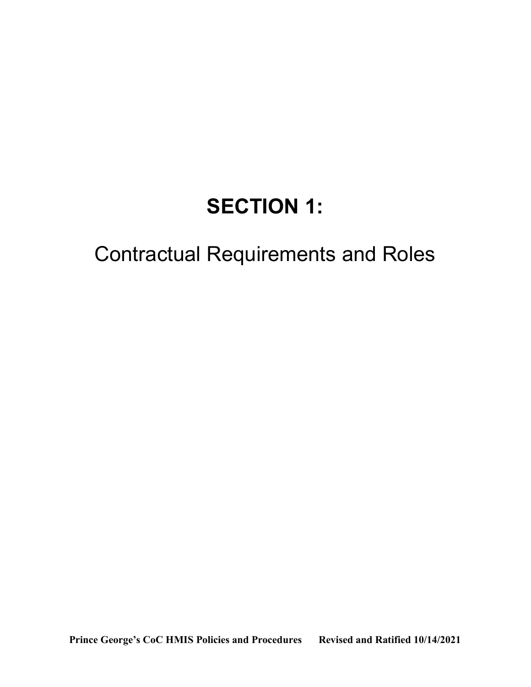## SECTION 1:

## Contractual Requirements and Roles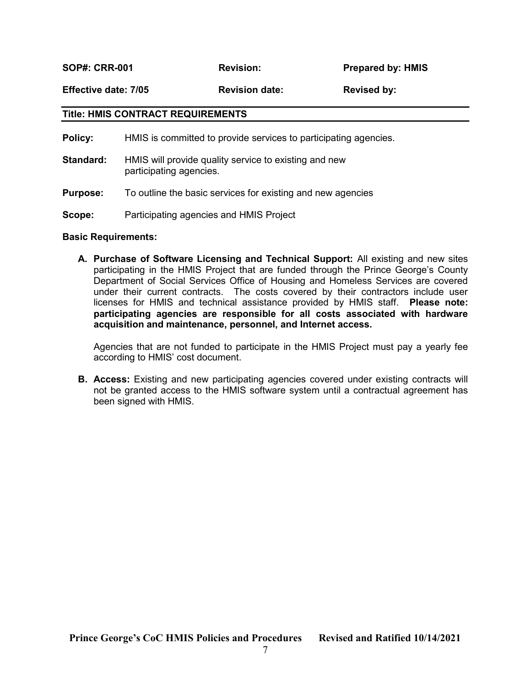SOP#: CRR-001 Revision: Prepared by: HMIS

Effective date: 7/05 Revision date: Revised by:

#### Title: HMIS CONTRACT REQUIREMENTS

Policy: HMIS is committed to provide services to participating agencies.

- **Standard:** HMIS will provide quality service to existing and new participating agencies.
- **Purpose:** To outline the basic services for existing and new agencies
- Scope: Participating agencies and HMIS Project

#### Basic Requirements:

A. Purchase of Software Licensing and Technical Support: All existing and new sites participating in the HMIS Project that are funded through the Prince George's County Department of Social Services Office of Housing and Homeless Services are covered under their current contracts. The costs covered by their contractors include user licenses for HMIS and technical assistance provided by HMIS staff. Please note: participating agencies are responsible for all costs associated with hardware acquisition and maintenance, personnel, and Internet access.

Agencies that are not funded to participate in the HMIS Project must pay a yearly fee according to HMIS' cost document.

**B. Access:** Existing and new participating agencies covered under existing contracts will not be granted access to the HMIS software system until a contractual agreement has been signed with HMIS.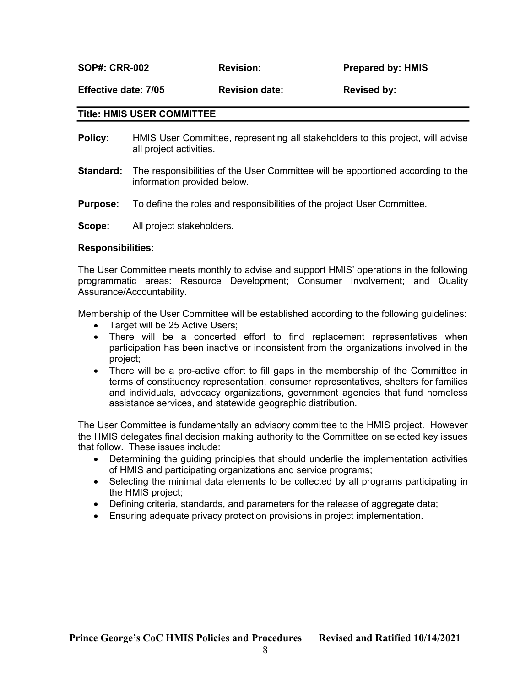SOP#: CRR-002 Revision: Prepared by: HMIS

Effective date: 7/05 Revision date: Revised by:

#### Title: HMIS USER COMMITTEE

- **Policy:** HMIS User Committee, representing all stakeholders to this project, will advise all project activities.
- **Standard:** The responsibilities of the User Committee will be apportioned according to the information provided below.
- **Purpose:** To define the roles and responsibilities of the project User Committee.

Scope: All project stakeholders.

#### Responsibilities:

The User Committee meets monthly to advise and support HMIS' operations in the following programmatic areas: Resource Development; Consumer Involvement; and Quality Assurance/Accountability.

Membership of the User Committee will be established according to the following guidelines:

- Target will be 25 Active Users;
- There will be a concerted effort to find replacement representatives when participation has been inactive or inconsistent from the organizations involved in the project;
- There will be a pro-active effort to fill gaps in the membership of the Committee in terms of constituency representation, consumer representatives, shelters for families and individuals, advocacy organizations, government agencies that fund homeless assistance services, and statewide geographic distribution.

The User Committee is fundamentally an advisory committee to the HMIS project. However the HMIS delegates final decision making authority to the Committee on selected key issues that follow. These issues include:

- Determining the guiding principles that should underlie the implementation activities of HMIS and participating organizations and service programs;
- Selecting the minimal data elements to be collected by all programs participating in the HMIS project;
- Defining criteria, standards, and parameters for the release of aggregate data;
- Ensuring adequate privacy protection provisions in project implementation.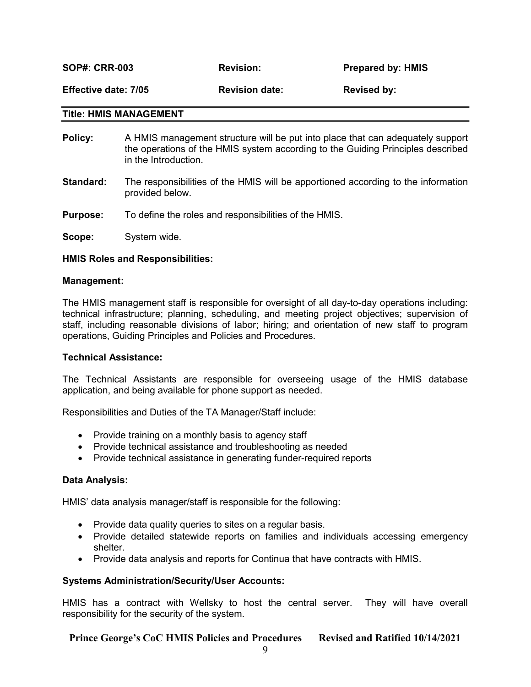SOP#: CRR-003 Revision: Prepared by: HMIS Effective date: 7/05 Revision date: Revised by:

#### Title: HMIS MANAGEMENT

- **Policy:** A HMIS management structure will be put into place that can adequately support the operations of the HMIS system according to the Guiding Principles described in the Introduction.
- Standard: The responsibilities of the HMIS will be apportioned according to the information provided below.
- **Purpose:** To define the roles and responsibilities of the HMIS.

Scope: System wide.

#### HMIS Roles and Responsibilities:

#### Management:

The HMIS management staff is responsible for oversight of all day-to-day operations including: technical infrastructure; planning, scheduling, and meeting project objectives; supervision of staff, including reasonable divisions of labor; hiring; and orientation of new staff to program operations, Guiding Principles and Policies and Procedures.

#### Technical Assistance:

The Technical Assistants are responsible for overseeing usage of the HMIS database application, and being available for phone support as needed.

Responsibilities and Duties of the TA Manager/Staff include:

- Provide training on a monthly basis to agency staff
- Provide technical assistance and troubleshooting as needed
- Provide technical assistance in generating funder-required reports

#### Data Analysis:

HMIS' data analysis manager/staff is responsible for the following:

- Provide data quality queries to sites on a regular basis.
- Provide detailed statewide reports on families and individuals accessing emergency shelter.
- Provide data analysis and reports for Continua that have contracts with HMIS.

#### Systems Administration/Security/User Accounts:

HMIS has a contract with Wellsky to host the central server. They will have overall responsibility for the security of the system.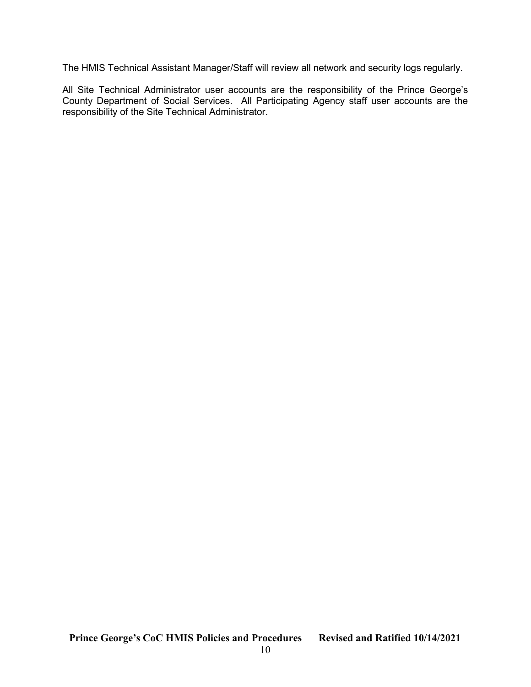The HMIS Technical Assistant Manager/Staff will review all network and security logs regularly.

All Site Technical Administrator user accounts are the responsibility of the Prince George's County Department of Social Services. All Participating Agency staff user accounts are the responsibility of the Site Technical Administrator.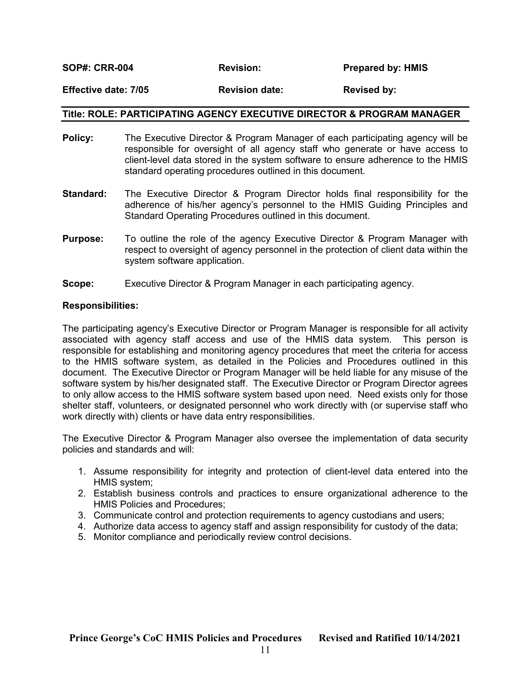SOP#: CRR-004 Revision: Revision: Prepared by: HMIS

#### Effective date: 7/05 Revision date: Revised by:

#### Title: ROLE: PARTICIPATING AGENCY EXECUTIVE DIRECTOR & PROGRAM MANAGER

- **Policy:** The Executive Director & Program Manager of each participating agency will be responsible for oversight of all agency staff who generate or have access to client-level data stored in the system software to ensure adherence to the HMIS standard operating procedures outlined in this document.
- Standard: The Executive Director & Program Director holds final responsibility for the adherence of his/her agency's personnel to the HMIS Guiding Principles and Standard Operating Procedures outlined in this document.
- **Purpose:** To outline the role of the agency Executive Director & Program Manager with respect to oversight of agency personnel in the protection of client data within the system software application.
- Scope: Executive Director & Program Manager in each participating agency.

#### Responsibilities:

The participating agency's Executive Director or Program Manager is responsible for all activity associated with agency staff access and use of the HMIS data system. This person is responsible for establishing and monitoring agency procedures that meet the criteria for access to the HMIS software system, as detailed in the Policies and Procedures outlined in this document. The Executive Director or Program Manager will be held liable for any misuse of the software system by his/her designated staff. The Executive Director or Program Director agrees to only allow access to the HMIS software system based upon need. Need exists only for those shelter staff, volunteers, or designated personnel who work directly with (or supervise staff who work directly with) clients or have data entry responsibilities.

The Executive Director & Program Manager also oversee the implementation of data security policies and standards and will:

- 1. Assume responsibility for integrity and protection of client-level data entered into the HMIS system;
- 2. Establish business controls and practices to ensure organizational adherence to the HMIS Policies and Procedures;
- 3. Communicate control and protection requirements to agency custodians and users;
- 4. Authorize data access to agency staff and assign responsibility for custody of the data;
- 5. Monitor compliance and periodically review control decisions.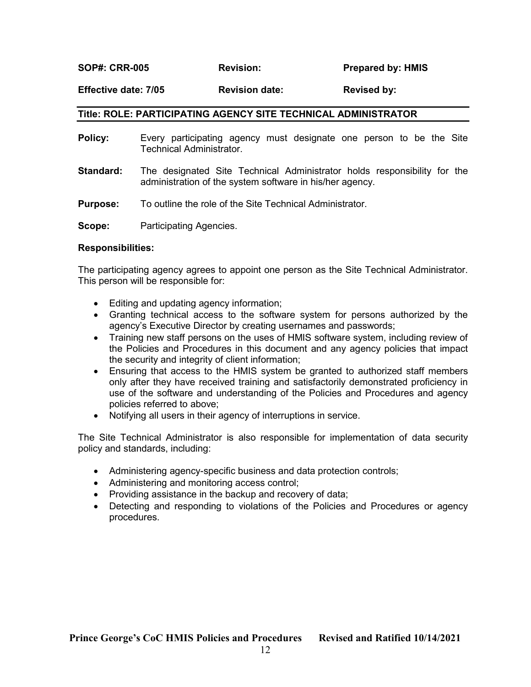#### Effective date: 7/05 Revision date: Revised by:

#### Title: ROLE: PARTICIPATING AGENCY SITE TECHNICAL ADMINISTRATOR

- **Policy:** Every participating agency must designate one person to be the Site Technical Administrator. **Standard:** The designated Site Technical Administrator holds responsibility for the administration of the system software in his/her agency.
- **Purpose:** To outline the role of the Site Technical Administrator.

**Scope:** Participating Agencies.

#### Responsibilities:

The participating agency agrees to appoint one person as the Site Technical Administrator. This person will be responsible for:

- Editing and updating agency information;
- Granting technical access to the software system for persons authorized by the agency's Executive Director by creating usernames and passwords;
- Training new staff persons on the uses of HMIS software system, including review of the Policies and Procedures in this document and any agency policies that impact the security and integrity of client information;
- Ensuring that access to the HMIS system be granted to authorized staff members only after they have received training and satisfactorily demonstrated proficiency in use of the software and understanding of the Policies and Procedures and agency policies referred to above;
- Notifying all users in their agency of interruptions in service.

The Site Technical Administrator is also responsible for implementation of data security policy and standards, including:

- Administering agency-specific business and data protection controls;
- Administering and monitoring access control;
- Providing assistance in the backup and recovery of data;
- Detecting and responding to violations of the Policies and Procedures or agency procedures.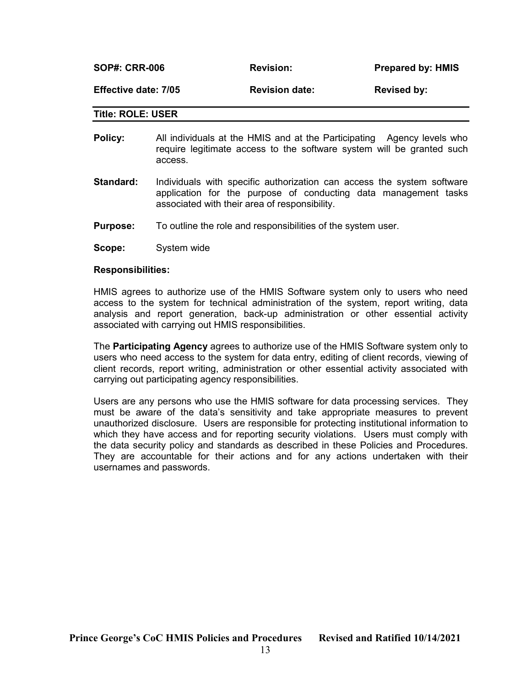| <b>SOP#: CRR-006</b><br><b>Prepared by: HMIS</b><br><b>Revision:</b> |  |
|----------------------------------------------------------------------|--|
|----------------------------------------------------------------------|--|

Effective date: 7/05 **Revision date:** Revised by:

#### Title: ROLE: USER

- Policy: All individuals at the HMIS and at the Participating Agency levels who require legitimate access to the software system will be granted such access.
- **Standard:** Individuals with specific authorization can access the system software application for the purpose of conducting data management tasks associated with their area of responsibility.
- **Purpose:** To outline the role and responsibilities of the system user.
- Scope: System wide

#### Responsibilities:

HMIS agrees to authorize use of the HMIS Software system only to users who need access to the system for technical administration of the system, report writing, data analysis and report generation, back-up administration or other essential activity associated with carrying out HMIS responsibilities.

The **Participating Agency** agrees to authorize use of the HMIS Software system only to users who need access to the system for data entry, editing of client records, viewing of client records, report writing, administration or other essential activity associated with carrying out participating agency responsibilities.

Users are any persons who use the HMIS software for data processing services. They must be aware of the data's sensitivity and take appropriate measures to prevent unauthorized disclosure. Users are responsible for protecting institutional information to which they have access and for reporting security violations. Users must comply with the data security policy and standards as described in these Policies and Procedures. They are accountable for their actions and for any actions undertaken with their usernames and passwords.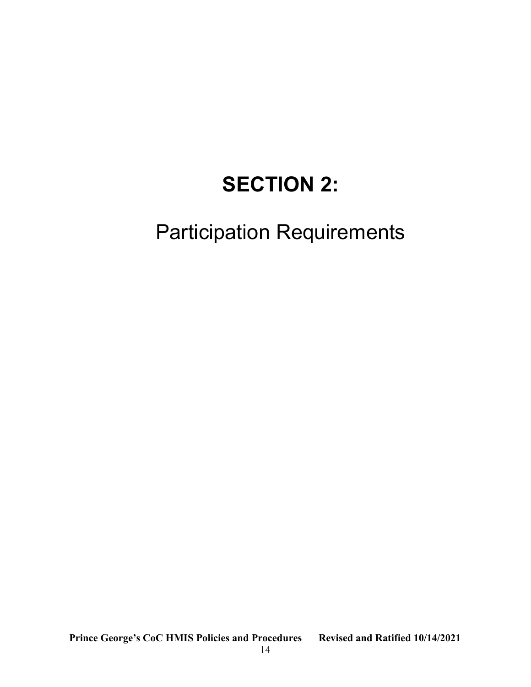# SECTION 2:

## Participation Requirements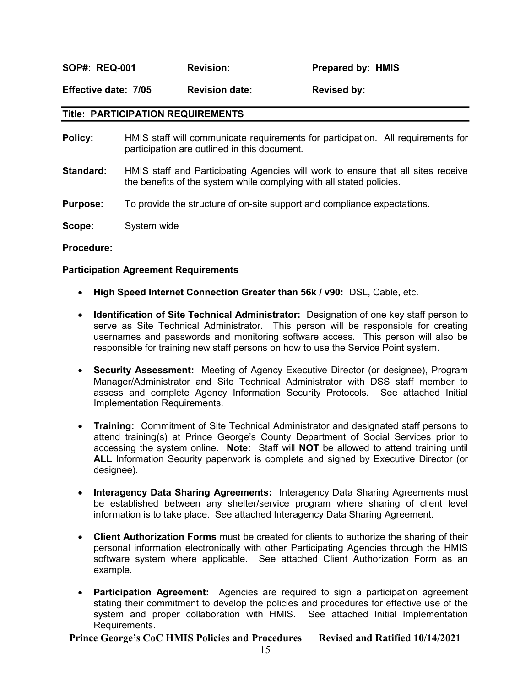SOP#: REQ-001 Revision: Prepared by: HMIS

Effective date: 7/05 Revision date: Revised by:

#### Title: PARTICIPATION REQUIREMENTS

- Policy: HMIS staff will communicate requirements for participation. All requirements for participation are outlined in this document.
- Standard: HMIS staff and Participating Agencies will work to ensure that all sites receive the benefits of the system while complying with all stated policies.
- Purpose: To provide the structure of on-site support and compliance expectations.
- Scope: System wide

Procedure:

#### Participation Agreement Requirements

- High Speed Internet Connection Greater than 56k / v90: DSL, Cable, etc.
- Identification of Site Technical Administrator: Designation of one key staff person to serve as Site Technical Administrator. This person will be responsible for creating usernames and passwords and monitoring software access. This person will also be responsible for training new staff persons on how to use the Service Point system.
- Security Assessment: Meeting of Agency Executive Director (or designee), Program Manager/Administrator and Site Technical Administrator with DSS staff member to assess and complete Agency Information Security Protocols. See attached Initial Implementation Requirements.
- Training: Commitment of Site Technical Administrator and designated staff persons to attend training(s) at Prince George's County Department of Social Services prior to accessing the system online. Note: Staff will NOT be allowed to attend training until ALL Information Security paperwork is complete and signed by Executive Director (or designee).
- Interagency Data Sharing Agreements: Interagency Data Sharing Agreements must be established between any shelter/service program where sharing of client level information is to take place. See attached Interagency Data Sharing Agreement.
- Client Authorization Forms must be created for clients to authorize the sharing of their personal information electronically with other Participating Agencies through the HMIS software system where applicable. See attached Client Authorization Form as an example.
- **Participation Agreement:** Agencies are required to sign a participation agreement stating their commitment to develop the policies and procedures for effective use of the system and proper collaboration with HMIS. See attached Initial Implementation Requirements.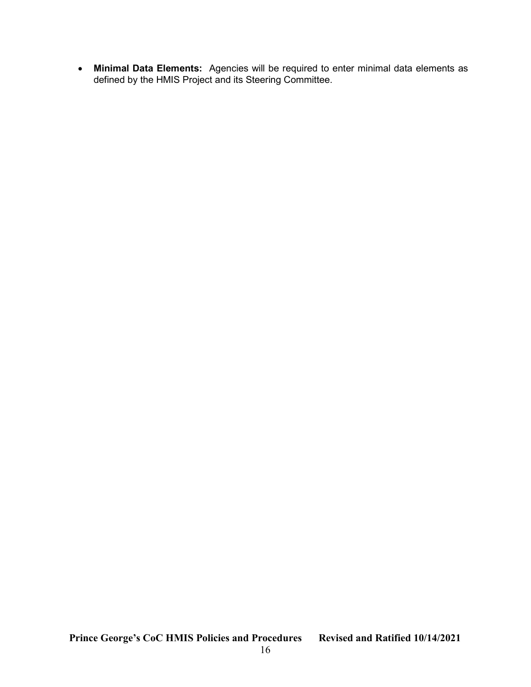• Minimal Data Elements: Agencies will be required to enter minimal data elements as defined by the HMIS Project and its Steering Committee.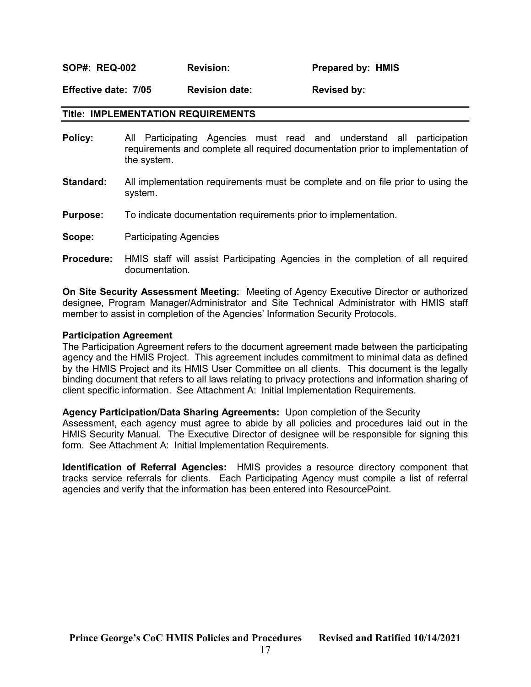SOP#: REQ-002 Revision: Prepared by: HMIS

Effective date: 7/05 Revision date: Revised by:

#### Title: IMPLEMENTATION REQUIREMENTS

- Policy: All Participating Agencies must read and understand all participation requirements and complete all required documentation prior to implementation of the system.
- **Standard:** All implementation requirements must be complete and on file prior to using the system.
- Purpose: To indicate documentation requirements prior to implementation.
- **Scope:** Participating Agencies
- Procedure: HMIS staff will assist Participating Agencies in the completion of all required documentation.

On Site Security Assessment Meeting: Meeting of Agency Executive Director or authorized designee, Program Manager/Administrator and Site Technical Administrator with HMIS staff member to assist in completion of the Agencies' Information Security Protocols.

#### Participation Agreement

The Participation Agreement refers to the document agreement made between the participating agency and the HMIS Project. This agreement includes commitment to minimal data as defined by the HMIS Project and its HMIS User Committee on all clients. This document is the legally binding document that refers to all laws relating to privacy protections and information sharing of client specific information. See Attachment A: Initial Implementation Requirements.

#### Agency Participation/Data Sharing Agreements: Upon completion of the Security

Assessment, each agency must agree to abide by all policies and procedures laid out in the HMIS Security Manual. The Executive Director of designee will be responsible for signing this form. See Attachment A: Initial Implementation Requirements.

Identification of Referral Agencies: HMIS provides a resource directory component that tracks service referrals for clients. Each Participating Agency must compile a list of referral agencies and verify that the information has been entered into ResourcePoint.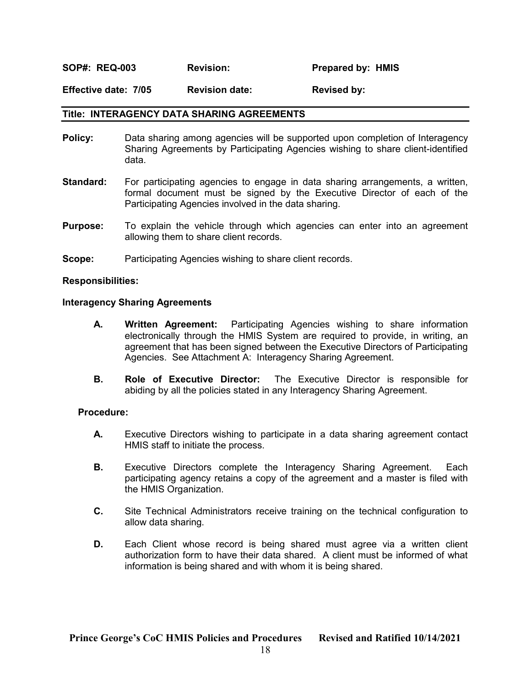SOP#: REQ-003 Revision: Prepared by: HMIS

Effective date: 7/05 Revision date: Revised by:

#### Title: INTERAGENCY DATA SHARING AGREEMENTS

- **Policy:** Data sharing among agencies will be supported upon completion of Interagency Sharing Agreements by Participating Agencies wishing to share client-identified data.
- **Standard:** For participating agencies to engage in data sharing arrangements, a written, formal document must be signed by the Executive Director of each of the Participating Agencies involved in the data sharing.
- **Purpose:** To explain the vehicle through which agencies can enter into an agreement allowing them to share client records.
- **Scope:** Participating Agencies wishing to share client records.

#### Responsibilities:

#### Interagency Sharing Agreements

- A. Written Agreement: Participating Agencies wishing to share information electronically through the HMIS System are required to provide, in writing, an agreement that has been signed between the Executive Directors of Participating Agencies. See Attachment A: Interagency Sharing Agreement.
- B. Role of Executive Director: The Executive Director is responsible for abiding by all the policies stated in any Interagency Sharing Agreement.

#### Procedure:

- A. Executive Directors wishing to participate in a data sharing agreement contact HMIS staff to initiate the process.
- **B.** Executive Directors complete the Interagency Sharing Agreement. Each participating agency retains a copy of the agreement and a master is filed with the HMIS Organization.
- C. Site Technical Administrators receive training on the technical configuration to allow data sharing.
- D. Each Client whose record is being shared must agree via a written client authorization form to have their data shared. A client must be informed of what information is being shared and with whom it is being shared.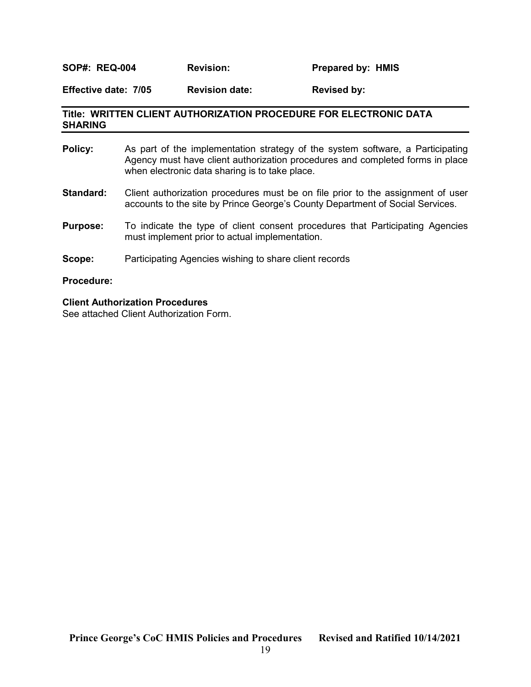#### SOP#: REQ-004 Revision: Prepared by: HMIS

Effective date: 7/05 Revision date: Revised by:

#### Title: WRITTEN CLIENT AUTHORIZATION PROCEDURE FOR ELECTRONIC DATA SHARING

| Policy:           | As part of the implementation strategy of the system software, a Participating<br>Agency must have client authorization procedures and completed forms in place<br>when electronic data sharing is to take place. |
|-------------------|-------------------------------------------------------------------------------------------------------------------------------------------------------------------------------------------------------------------|
| Standard:         | Client authorization procedures must be on file prior to the assignment of user<br>accounts to the site by Prince George's County Department of Social Services.                                                  |
| <b>Purpose:</b>   | To indicate the type of client consent procedures that Participating Agencies<br>must implement prior to actual implementation.                                                                                   |
| Scope:            | Participating Agencies wishing to share client records                                                                                                                                                            |
| <b>Procedure:</b> |                                                                                                                                                                                                                   |

#### Client Authorization Procedures

See attached Client Authorization Form.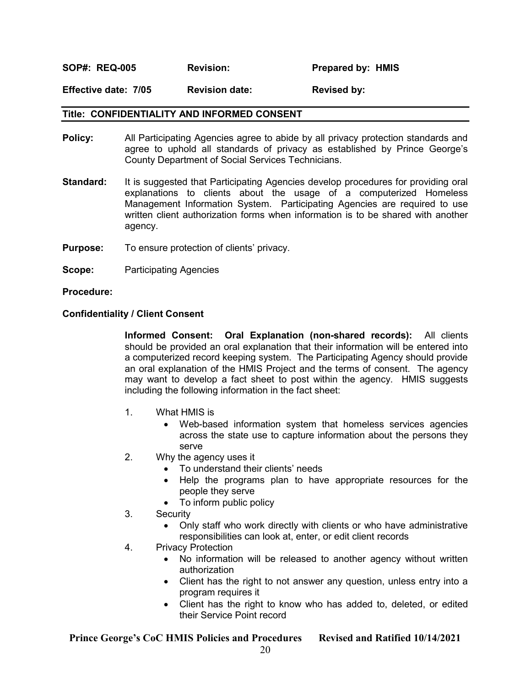#### SOP#: REQ-005 Revision: Prepared by: HMIS

Effective date: 7/05 Revision date: Revised by:

#### Title: CONFIDENTIALITY AND INFORMED CONSENT

- **Policy:** All Participating Agencies agree to abide by all privacy protection standards and agree to uphold all standards of privacy as established by Prince George's County Department of Social Services Technicians.
- **Standard:** It is suggested that Participating Agencies develop procedures for providing oral explanations to clients about the usage of a computerized Homeless Management Information System. Participating Agencies are required to use written client authorization forms when information is to be shared with another agency.
- Purpose: To ensure protection of clients' privacy.
- **Scope:** Participating Agencies

Procedure:

#### Confidentiality / Client Consent

 Informed Consent: Oral Explanation (non-shared records): All clients should be provided an oral explanation that their information will be entered into a computerized record keeping system. The Participating Agency should provide an oral explanation of the HMIS Project and the terms of consent. The agency may want to develop a fact sheet to post within the agency. HMIS suggests including the following information in the fact sheet:

- 1. What HMIS is
	- Web-based information system that homeless services agencies across the state use to capture information about the persons they serve
- 2. Why the agency uses it
	- To understand their clients' needs
	- Help the programs plan to have appropriate resources for the people they serve
	- To inform public policy
- 3. Security
	- Only staff who work directly with clients or who have administrative responsibilities can look at, enter, or edit client records
- 4. Privacy Protection
	- No information will be released to another agency without written authorization
	- Client has the right to not answer any question, unless entry into a program requires it
	- Client has the right to know who has added to, deleted, or edited their Service Point record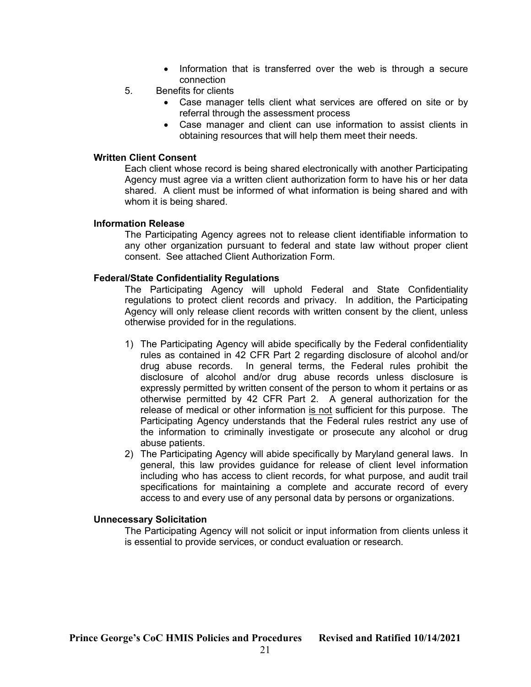- Information that is transferred over the web is through a secure connection
- 5. Benefits for clients
	- Case manager tells client what services are offered on site or by referral through the assessment process
	- Case manager and client can use information to assist clients in obtaining resources that will help them meet their needs.

#### Written Client Consent

Each client whose record is being shared electronically with another Participating Agency must agree via a written client authorization form to have his or her data shared. A client must be informed of what information is being shared and with whom it is being shared.

#### Information Release

The Participating Agency agrees not to release client identifiable information to any other organization pursuant to federal and state law without proper client consent. See attached Client Authorization Form.

#### Federal/State Confidentiality Regulations

The Participating Agency will uphold Federal and State Confidentiality regulations to protect client records and privacy. In addition, the Participating Agency will only release client records with written consent by the client, unless otherwise provided for in the regulations.

- 1) The Participating Agency will abide specifically by the Federal confidentiality rules as contained in 42 CFR Part 2 regarding disclosure of alcohol and/or drug abuse records. In general terms, the Federal rules prohibit the disclosure of alcohol and/or drug abuse records unless disclosure is expressly permitted by written consent of the person to whom it pertains or as otherwise permitted by 42 CFR Part 2. A general authorization for the release of medical or other information is not sufficient for this purpose. The Participating Agency understands that the Federal rules restrict any use of the information to criminally investigate or prosecute any alcohol or drug abuse patients.
- 2) The Participating Agency will abide specifically by Maryland general laws. In general, this law provides guidance for release of client level information including who has access to client records, for what purpose, and audit trail specifications for maintaining a complete and accurate record of every access to and every use of any personal data by persons or organizations.

#### Unnecessary Solicitation

The Participating Agency will not solicit or input information from clients unless it is essential to provide services, or conduct evaluation or research.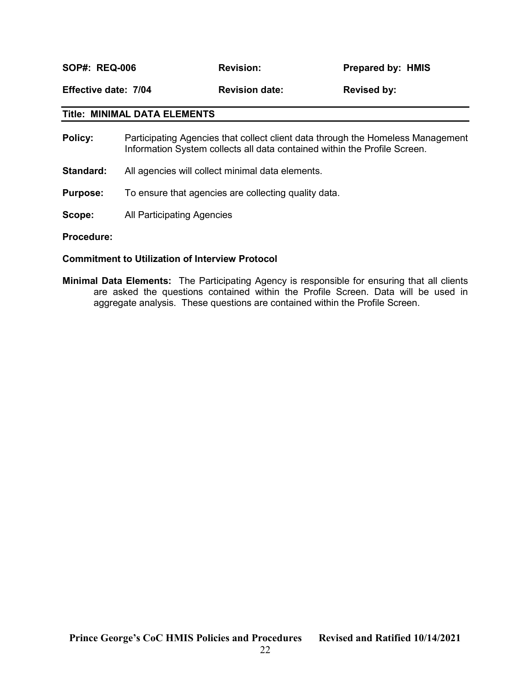SOP#: REQ-006 Revision: Prepared by: HMIS

Effective date: 7/04 Revision date: Revised by:

#### Title: MINIMAL DATA ELEMENTS

- Policy: Participating Agencies that collect client data through the Homeless Management Information System collects all data contained within the Profile Screen.
- Standard: All agencies will collect minimal data elements.
- **Purpose:** To ensure that agencies are collecting quality data.
- Scope: All Participating Agencies

#### Commitment to Utilization of Interview Protocol

Minimal Data Elements: The Participating Agency is responsible for ensuring that all clients are asked the questions contained within the Profile Screen. Data will be used in aggregate analysis. These questions are contained within the Profile Screen.

Procedure: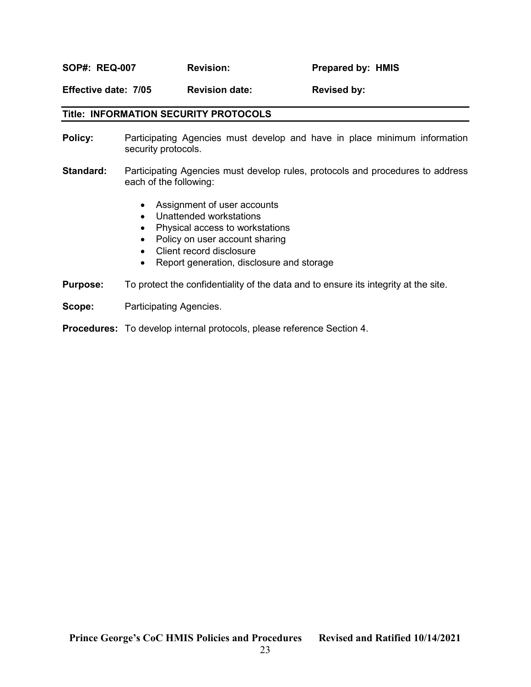SOP#: REQ-007 Revision: Prepared by: HMIS

Effective date: 7/05 Revision date: Revised by:

#### Title: INFORMATION SECURITY PROTOCOLS

- **Policy:** Participating Agencies must develop and have in place minimum information security protocols.
- Standard: Participating Agencies must develop rules, protocols and procedures to address each of the following:
	- Assignment of user accounts
	- Unattended workstations
	- Physical access to workstations
	- Policy on user account sharing
	- Client record disclosure
	- Report generation, disclosure and storage
- **Purpose:** To protect the confidentiality of the data and to ensure its integrity at the site.
- Scope: Participating Agencies.

Procedures: To develop internal protocols, please reference Section 4.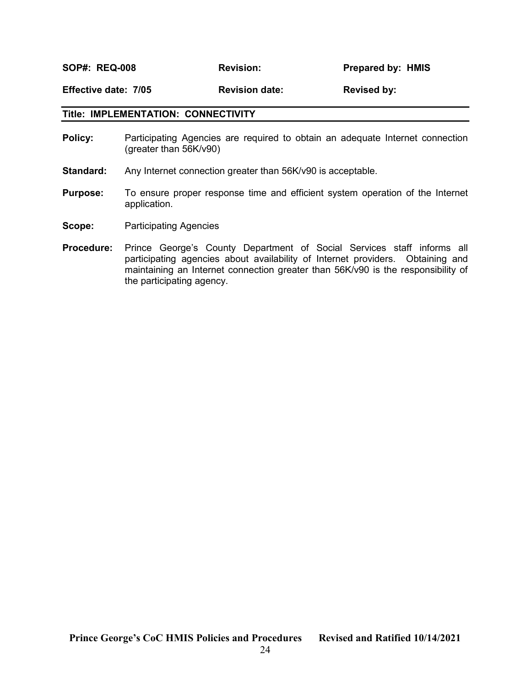SOP#: REQ-008 Revision: Prepared by: HMIS

Effective date: 7/05 Revision date: Revised by:

#### Title: IMPLEMENTATION: CONNECTIVITY

- **Policy:** Participating Agencies are required to obtain an adequate Internet connection (greater than 56K/v90)
- Standard: Any Internet connection greater than 56K/v90 is acceptable.
- **Purpose:** To ensure proper response time and efficient system operation of the Internet application.
- Scope: Participating Agencies
- Procedure: Prince George's County Department of Social Services staff informs all participating agencies about availability of Internet providers. Obtaining and maintaining an Internet connection greater than 56K/v90 is the responsibility of the participating agency.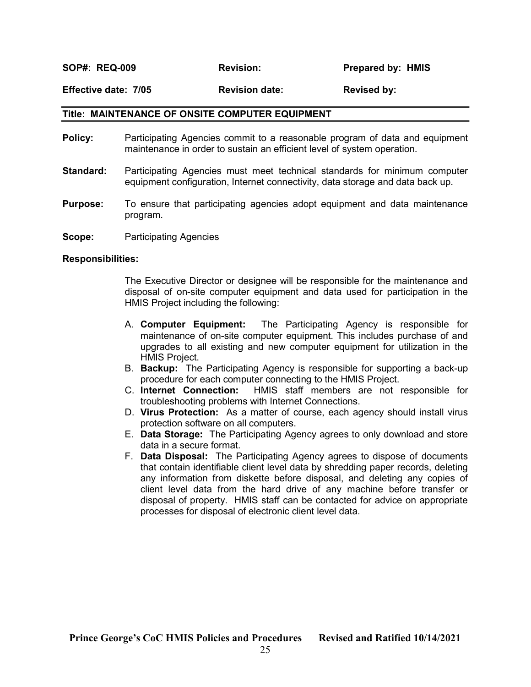SOP#: REQ-009 **Revision:** Prepared by: HMIS

Effective date: 7/05 Revision date: Revised by:

#### Title: MAINTENANCE OF ONSITE COMPUTER EQUIPMENT

- Policy: Participating Agencies commit to a reasonable program of data and equipment maintenance in order to sustain an efficient level of system operation.
- **Standard:** Participating Agencies must meet technical standards for minimum computer equipment configuration, Internet connectivity, data storage and data back up.
- **Purpose:** To ensure that participating agencies adopt equipment and data maintenance program.
- Scope: Participating Agencies

#### Responsibilities:

The Executive Director or designee will be responsible for the maintenance and disposal of on-site computer equipment and data used for participation in the HMIS Project including the following:

- A. Computer Equipment: The Participating Agency is responsible for maintenance of on-site computer equipment. This includes purchase of and upgrades to all existing and new computer equipment for utilization in the HMIS Project.
- B. Backup: The Participating Agency is responsible for supporting a back-up procedure for each computer connecting to the HMIS Project.
- C. Internet Connection: HMIS staff members are not responsible for troubleshooting problems with Internet Connections.
- D. Virus Protection: As a matter of course, each agency should install virus protection software on all computers.
- E. Data Storage: The Participating Agency agrees to only download and store data in a secure format.
- F. Data Disposal: The Participating Agency agrees to dispose of documents that contain identifiable client level data by shredding paper records, deleting any information from diskette before disposal, and deleting any copies of client level data from the hard drive of any machine before transfer or disposal of property. HMIS staff can be contacted for advice on appropriate processes for disposal of electronic client level data.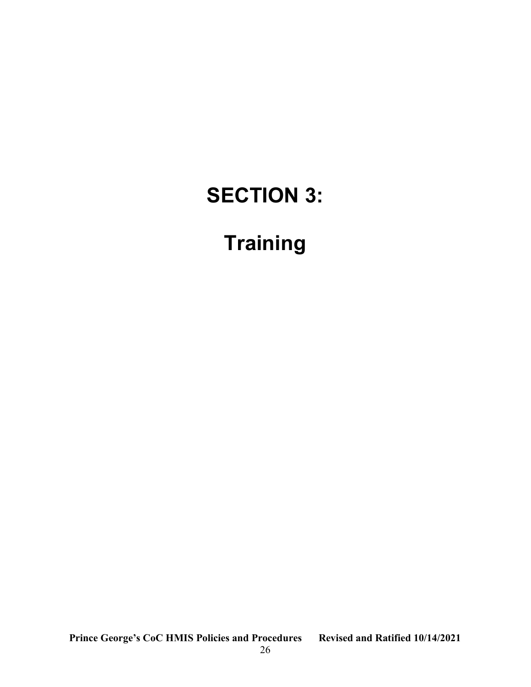## SECTION 3:

## **Training**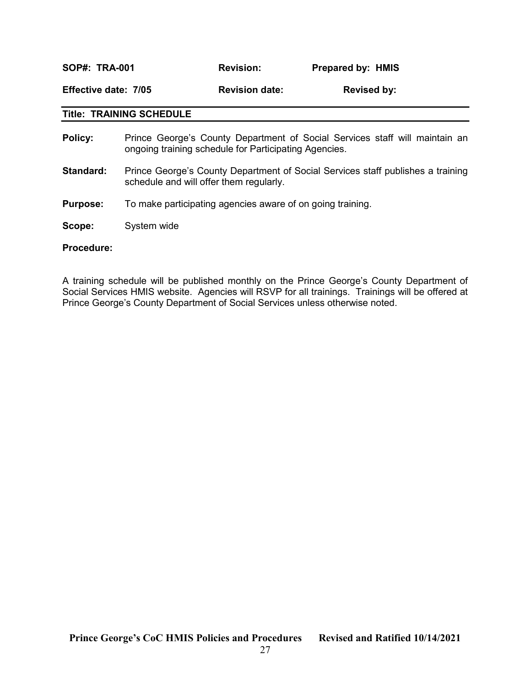| <b>SOP#: TRA-001</b> |                                                                                                                                      | <b>Revision:</b>      |  | <b>Prepared by: HMIS</b> |  |  |
|----------------------|--------------------------------------------------------------------------------------------------------------------------------------|-----------------------|--|--------------------------|--|--|
| Effective date: 7/05 |                                                                                                                                      | <b>Revision date:</b> |  | <b>Revised by:</b>       |  |  |
|                      | <b>Title: TRAINING SCHEDULE</b>                                                                                                      |                       |  |                          |  |  |
| Policy:              | Prince George's County Department of Social Services staff will maintain an<br>ongoing training schedule for Participating Agencies. |                       |  |                          |  |  |

- Standard: Prince George's County Department of Social Services staff publishes a training schedule and will offer them regularly.
- **Purpose:** To make participating agencies aware of on going training.
- Scope: System wide

#### Procedure:

A training schedule will be published monthly on the Prince George's County Department of Social Services HMIS website. Agencies will RSVP for all trainings. Trainings will be offered at Prince George's County Department of Social Services unless otherwise noted.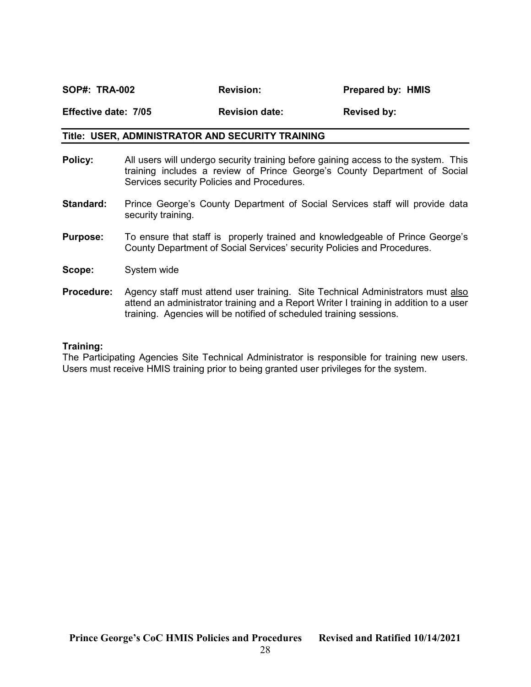### SOP#: TRA-002 Revision: Prepared by: HMIS Effective date: 7/05 Revision date: Revised by:

#### Title: USER, ADMINISTRATOR AND SECURITY TRAINING

- Policy: All users will undergo security training before gaining access to the system. This training includes a review of Prince George's County Department of Social Services security Policies and Procedures.
- **Standard:** Prince George's County Department of Social Services staff will provide data security training.
- **Purpose:** To ensure that staff is properly trained and knowledgeable of Prince George's County Department of Social Services' security Policies and Procedures.
- Scope: System wide
- Procedure: Agency staff must attend user training. Site Technical Administrators must also attend an administrator training and a Report Writer I training in addition to a user training. Agencies will be notified of scheduled training sessions.

#### Training:

The Participating Agencies Site Technical Administrator is responsible for training new users. Users must receive HMIS training prior to being granted user privileges for the system.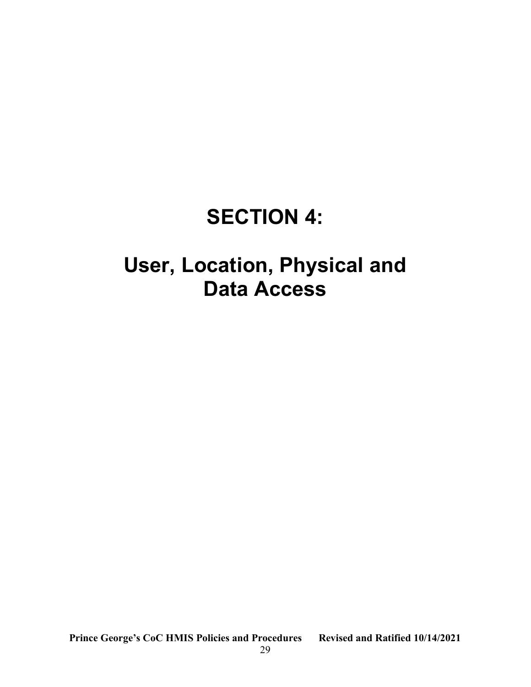## SECTION 4:

## User, Location, Physical and Data Access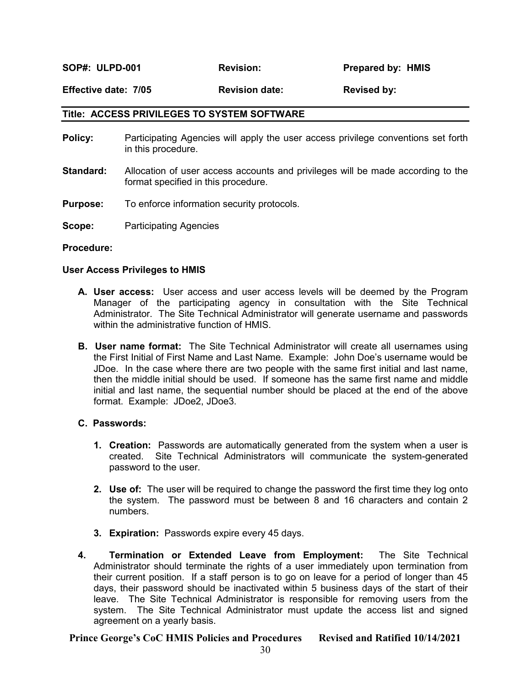SOP#: ULPD-001 Revision: Prepared by: HMIS

Effective date: 7/05 Revision date: Revised by:

#### Title: ACCESS PRIVILEGES TO SYSTEM SOFTWARE

- Policy: Participating Agencies will apply the user access privilege conventions set forth in this procedure.
- Standard: Allocation of user access accounts and privileges will be made according to the format specified in this procedure.
- **Purpose:** To enforce information security protocols.
- Scope: Participating Agencies

Procedure:

#### User Access Privileges to HMIS

- A. User access: User access and user access levels will be deemed by the Program Manager of the participating agency in consultation with the Site Technical Administrator. The Site Technical Administrator will generate username and passwords within the administrative function of HMIS.
- **B. User name format:** The Site Technical Administrator will create all usernames using the First Initial of First Name and Last Name. Example: John Doe's username would be JDoe. In the case where there are two people with the same first initial and last name, then the middle initial should be used. If someone has the same first name and middle initial and last name, the sequential number should be placed at the end of the above format. Example: JDoe2, JDoe3.

#### C. Passwords:

- **1. Creation:** Passwords are automatically generated from the system when a user is created. Site Technical Administrators will communicate the system-generated password to the user.
- 2. Use of: The user will be required to change the password the first time they log onto the system. The password must be between 8 and 16 characters and contain 2 numbers.
- 3. Expiration: Passwords expire every 45 days.
- 4. Termination or Extended Leave from Employment: The Site Technical Administrator should terminate the rights of a user immediately upon termination from their current position. If a staff person is to go on leave for a period of longer than 45 days, their password should be inactivated within 5 business days of the start of their leave. The Site Technical Administrator is responsible for removing users from the system. The Site Technical Administrator must update the access list and signed agreement on a yearly basis.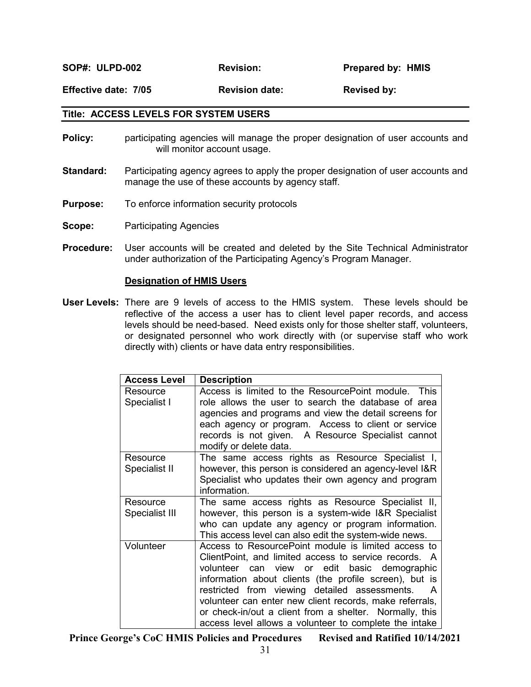SOP#: ULPD-002 Revision: Prepared by: HMIS

Effective date: 7/05 Revision date: Revised by:

#### Title: ACCESS LEVELS FOR SYSTEM USERS

- **Policy:** participating agencies will manage the proper designation of user accounts and will monitor account usage.
- **Standard:** Participating agency agrees to apply the proper designation of user accounts and manage the use of these accounts by agency staff.
- **Purpose:** To enforce information security protocols
- Scope: Participating Agencies
- Procedure: User accounts will be created and deleted by the Site Technical Administrator under authorization of the Participating Agency's Program Manager.

#### Designation of HMIS Users

User Levels: There are 9 levels of access to the HMIS system. These levels should be reflective of the access a user has to client level paper records, and access levels should be need-based. Need exists only for those shelter staff, volunteers, or designated personnel who work directly with (or supervise staff who work directly with) clients or have data entry responsibilities.

| <b>Access Level</b> | <b>Description</b>                                      |
|---------------------|---------------------------------------------------------|
| Resource            | Access is limited to the ResourcePoint module. This     |
| Specialist I        | role allows the user to search the database of area     |
|                     | agencies and programs and view the detail screens for   |
|                     | each agency or program. Access to client or service     |
|                     | records is not given. A Resource Specialist cannot      |
|                     | modify or delete data.                                  |
| Resource            | The same access rights as Resource Specialist I,        |
| Specialist II       | however, this person is considered an agency-level I&R  |
|                     | Specialist who updates their own agency and program     |
|                     | information.                                            |
| Resource            | The same access rights as Resource Specialist II,       |
| Specialist III      | however, this person is a system-wide I&R Specialist    |
|                     | who can update any agency or program information.       |
|                     | This access level can also edit the system-wide news.   |
| Volunteer           | Access to ResourcePoint module is limited access to     |
|                     | ClientPoint, and limited access to service records. A   |
|                     | volunteer can view or edit basic demographic            |
|                     | information about clients (the profile screen), but is  |
|                     | restricted from viewing detailed assessments.<br>A      |
|                     | volunteer can enter new client records, make referrals, |
|                     | or check-in/out a client from a shelter. Normally, this |
|                     | access level allows a volunteer to complete the intake  |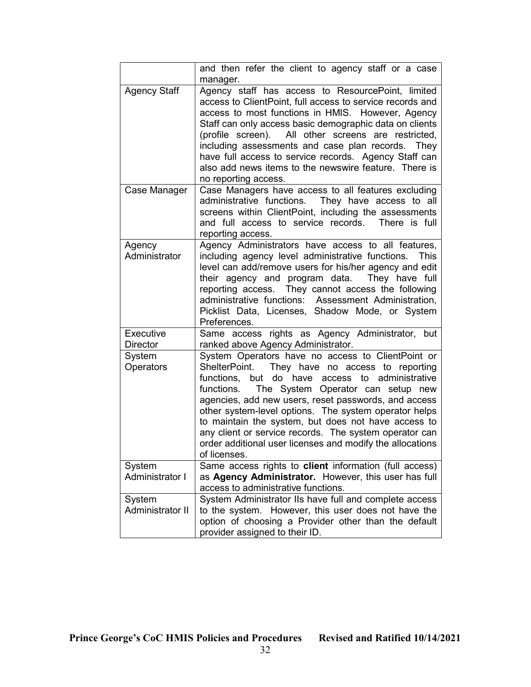|                              | and then refer the client to agency staff or a case<br>manager.                                                                                                                                                                                                                                                                                                                                                                                                                                                          |
|------------------------------|--------------------------------------------------------------------------------------------------------------------------------------------------------------------------------------------------------------------------------------------------------------------------------------------------------------------------------------------------------------------------------------------------------------------------------------------------------------------------------------------------------------------------|
| <b>Agency Staff</b>          | Agency staff has access to ResourcePoint, limited<br>access to ClientPoint, full access to service records and<br>access to most functions in HMIS. However, Agency<br>Staff can only access basic demographic data on clients<br>(profile screen).<br>All other screens are restricted,<br>including assessments and case plan records. They<br>have full access to service records. Agency Staff can<br>also add news items to the newswire feature. There is<br>no reporting access.                                  |
| Case Manager                 | Case Managers have access to all features excluding<br>administrative functions. They have access to all<br>screens within ClientPoint, including the assessments<br>and full access to service records. There is full<br>reporting access.                                                                                                                                                                                                                                                                              |
| Agency<br>Administrator      | Agency Administrators have access to all features,<br>including agency level administrative functions. This<br>level can add/remove users for his/her agency and edit<br>their agency and program data. They have full<br>reporting access. They cannot access the following<br>administrative functions: Assessment Administration,<br>Picklist Data, Licenses, Shadow Mode, or System<br>Preferences.                                                                                                                  |
| Executive<br><b>Director</b> | Same access rights as Agency Administrator, but<br>ranked above Agency Administrator.                                                                                                                                                                                                                                                                                                                                                                                                                                    |
| System<br>Operators          | System Operators have no access to ClientPoint or<br>ShelterPoint. They have no access to reporting<br>functions, but do have access to administrative<br>functions.<br>The System Operator can setup new<br>agencies, add new users, reset passwords, and access<br>other system-level options. The system operator helps<br>to maintain the system, but does not have access to<br>any client or service records. The system operator can<br>order additional user licenses and modify the allocations<br>of licenses. |
| System<br>Administrator I    | Same access rights to client information (full access)<br>as Agency Administrator. However, this user has full<br>access to administrative functions.                                                                                                                                                                                                                                                                                                                                                                    |
| System<br>Administrator II   | System Administrator IIs have full and complete access<br>to the system. However, this user does not have the<br>option of choosing a Provider other than the default<br>provider assigned to their ID.                                                                                                                                                                                                                                                                                                                  |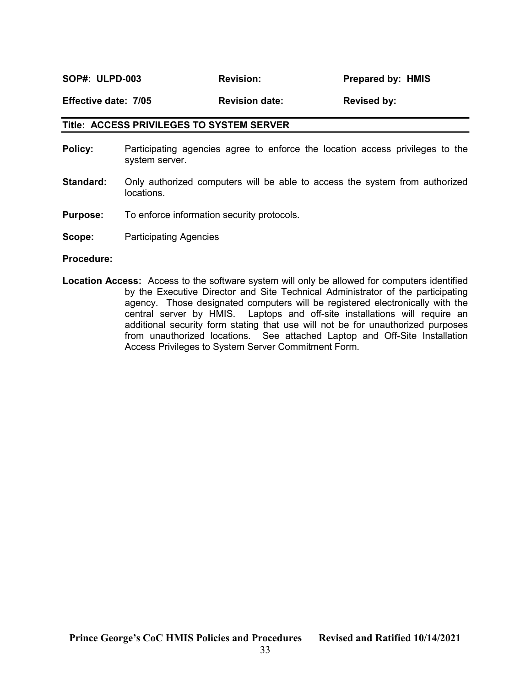SOP#: ULPD-003 Revision: Prepared by: HMIS

Effective date: 7/05 Revision date: Revised by:

#### Title: ACCESS PRIVILEGES TO SYSTEM SERVER

- **Policy:** Participating agencies agree to enforce the location access privileges to the system server.
- **Standard:** Only authorized computers will be able to access the system from authorized locations.
- Purpose: To enforce information security protocols.
- Scope: Participating Agencies

Procedure:

Location Access: Access to the software system will only be allowed for computers identified by the Executive Director and Site Technical Administrator of the participating agency. Those designated computers will be registered electronically with the central server by HMIS. Laptops and off-site installations will require an additional security form stating that use will not be for unauthorized purposes from unauthorized locations. See attached Laptop and Off-Site Installation Access Privileges to System Server Commitment Form.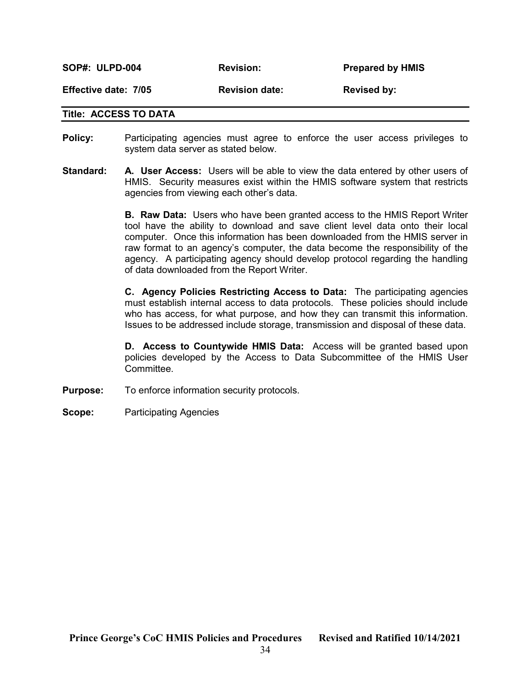| <b>SOP#: ULPD-004</b> | <b>Revision:</b>      | <b>Prepared by HMIS</b> |
|-----------------------|-----------------------|-------------------------|
| Effective date: 7/05  | <b>Revision date:</b> | <b>Revised by:</b>      |

#### Title: ACCESS TO DATA

- Policy: Participating agencies must agree to enforce the user access privileges to system data server as stated below.
- **Standard:** A. User Access: Users will be able to view the data entered by other users of HMIS. Security measures exist within the HMIS software system that restricts agencies from viewing each other's data.

**B. Raw Data:** Users who have been granted access to the HMIS Report Writer tool have the ability to download and save client level data onto their local computer. Once this information has been downloaded from the HMIS server in raw format to an agency's computer, the data become the responsibility of the agency. A participating agency should develop protocol regarding the handling of data downloaded from the Report Writer.

C. Agency Policies Restricting Access to Data: The participating agencies must establish internal access to data protocols. These policies should include who has access, for what purpose, and how they can transmit this information. Issues to be addressed include storage, transmission and disposal of these data.

D. Access to Countywide HMIS Data: Access will be granted based upon policies developed by the Access to Data Subcommittee of the HMIS User Committee.

- **Purpose:** To enforce information security protocols.
- Scope: Participating Agencies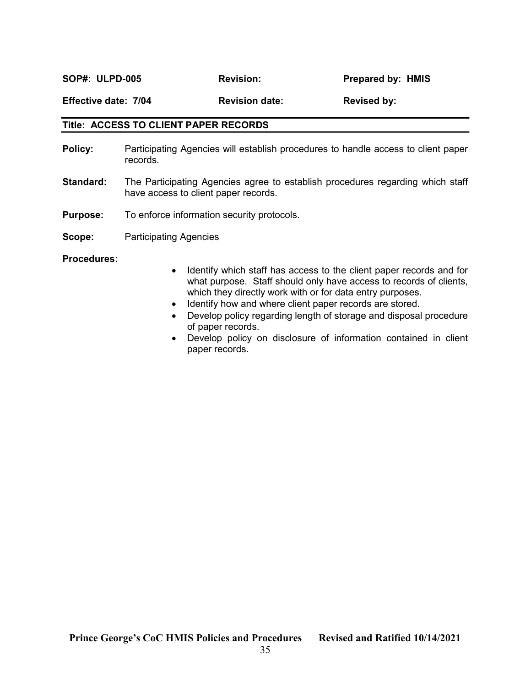SOP#: ULPD-005 Revision: Prepared by: HMIS

Effective date: 7/04 Revision date: Revised by:

#### Title: ACCESS TO CLIENT PAPER RECORDS

- Policy: Participating Agencies will establish procedures to handle access to client paper records.
- **Standard:** The Participating Agencies agree to establish procedures regarding which staff have access to client paper records.
- **Purpose:** To enforce information security protocols.
- Scope: Participating Agencies

#### Procedures:

- Identify which staff has access to the client paper records and for what purpose. Staff should only have access to records of clients, which they directly work with or for data entry purposes.
- Identify how and where client paper records are stored.
- Develop policy regarding length of storage and disposal procedure of paper records.
- Develop policy on disclosure of information contained in client paper records.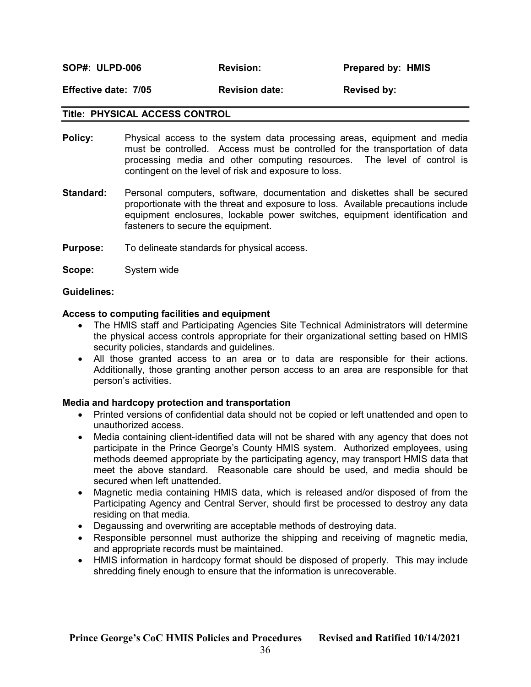#### Effective date: 7/05 Revision date: Revised by:

#### Title: PHYSICAL ACCESS CONTROL

- **Policy:** Physical access to the system data processing areas, equipment and media must be controlled. Access must be controlled for the transportation of data processing media and other computing resources. The level of control is contingent on the level of risk and exposure to loss.
- Standard: Personal computers, software, documentation and diskettes shall be secured proportionate with the threat and exposure to loss. Available precautions include equipment enclosures, lockable power switches, equipment identification and fasteners to secure the equipment.
- **Purpose:** To delineate standards for physical access.
- Scope: System wide

#### Guidelines:

#### Access to computing facilities and equipment

- The HMIS staff and Participating Agencies Site Technical Administrators will determine the physical access controls appropriate for their organizational setting based on HMIS security policies, standards and guidelines.
- All those granted access to an area or to data are responsible for their actions. Additionally, those granting another person access to an area are responsible for that person's activities.

#### Media and hardcopy protection and transportation

- Printed versions of confidential data should not be copied or left unattended and open to unauthorized access.
- Media containing client-identified data will not be shared with any agency that does not participate in the Prince George's County HMIS system. Authorized employees, using methods deemed appropriate by the participating agency, may transport HMIS data that meet the above standard. Reasonable care should be used, and media should be secured when left unattended.
- Magnetic media containing HMIS data, which is released and/or disposed of from the Participating Agency and Central Server, should first be processed to destroy any data residing on that media.
- Degaussing and overwriting are acceptable methods of destroying data.
- Responsible personnel must authorize the shipping and receiving of magnetic media, and appropriate records must be maintained.
- HMIS information in hardcopy format should be disposed of properly. This may include shredding finely enough to ensure that the information is unrecoverable.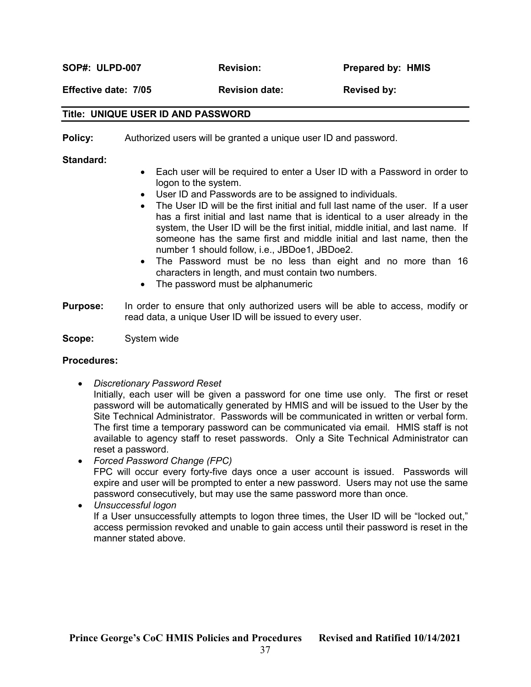SOP#: ULPD-007 Revision: Prepared by: HMIS

Effective date: 7/05 Revision date: Revised by:

#### Title: UNIQUE USER ID AND PASSWORD

**Policy:** Authorized users will be granted a unique user ID and password.

Standard:

- Each user will be required to enter a User ID with a Password in order to logon to the system.
- User ID and Passwords are to be assigned to individuals.
- The User ID will be the first initial and full last name of the user. If a user has a first initial and last name that is identical to a user already in the system, the User ID will be the first initial, middle initial, and last name. If someone has the same first and middle initial and last name, then the number 1 should follow, i.e., JBDoe1, JBDoe2.
- The Password must be no less than eight and no more than 16 characters in length, and must contain two numbers.
- The password must be alphanumeric
- **Purpose:** In order to ensure that only authorized users will be able to access, modify or read data, a unique User ID will be issued to every user.

Scope: System wide

#### Procedures:

Discretionary Password Reset

Initially, each user will be given a password for one time use only. The first or reset password will be automatically generated by HMIS and will be issued to the User by the Site Technical Administrator. Passwords will be communicated in written or verbal form. The first time a temporary password can be communicated via email. HMIS staff is not available to agency staff to reset passwords. Only a Site Technical Administrator can reset a password.

- Forced Password Change (FPC) FPC will occur every forty-five days once a user account is issued. Passwords will expire and user will be prompted to enter a new password. Users may not use the same password consecutively, but may use the same password more than once.
- Unsuccessful logon If a User unsuccessfully attempts to logon three times, the User ID will be "locked out," access permission revoked and unable to gain access until their password is reset in the manner stated above.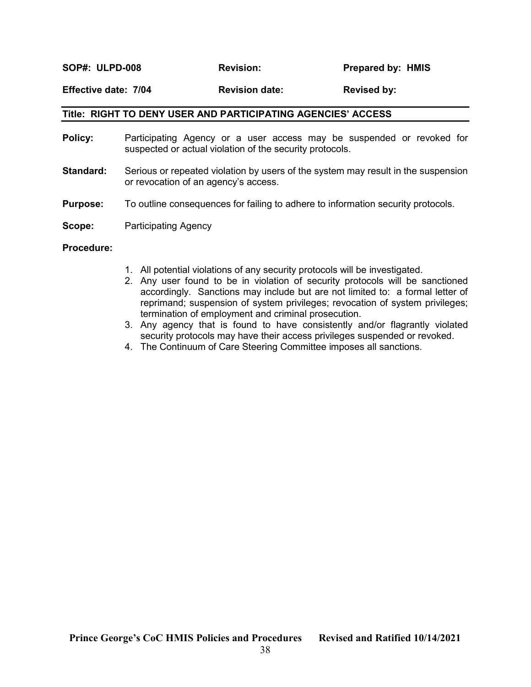SOP#: ULPD-008 Revision: Prepared by: HMIS

#### Effective date: 7/04 Revision date: Revised by:

#### Title: RIGHT TO DENY USER AND PARTICIPATING AGENCIES' ACCESS

- Policy: Participating Agency or a user access may be suspended or revoked for suspected or actual violation of the security protocols.
- **Standard:** Serious or repeated violation by users of the system may result in the suspension or revocation of an agency's access.
- **Purpose:** To outline consequences for failing to adhere to information security protocols.
- **Scope:** Participating Agency

#### Procedure:

- 1. All potential violations of any security protocols will be investigated.
- 2. Any user found to be in violation of security protocols will be sanctioned accordingly. Sanctions may include but are not limited to: a formal letter of reprimand; suspension of system privileges; revocation of system privileges; termination of employment and criminal prosecution.
- 3. Any agency that is found to have consistently and/or flagrantly violated security protocols may have their access privileges suspended or revoked.
- 4. The Continuum of Care Steering Committee imposes all sanctions.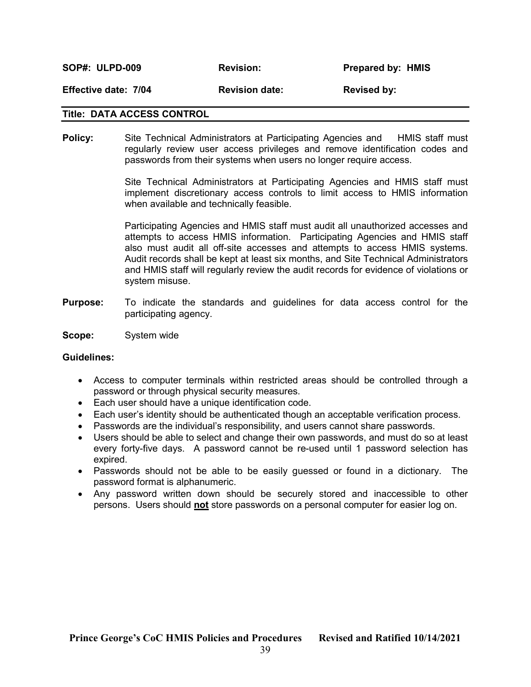SOP#: ULPD-009 **Revision:** Prepared by: HMIS Effective date: 7/04 Revision date: Revised by:

#### Title: DATA ACCESS CONTROL

Policy: Site Technical Administrators at Participating Agencies and HMIS staff must regularly review user access privileges and remove identification codes and passwords from their systems when users no longer require access.

> Site Technical Administrators at Participating Agencies and HMIS staff must implement discretionary access controls to limit access to HMIS information when available and technically feasible.

> Participating Agencies and HMIS staff must audit all unauthorized accesses and attempts to access HMIS information. Participating Agencies and HMIS staff also must audit all off-site accesses and attempts to access HMIS systems. Audit records shall be kept at least six months, and Site Technical Administrators and HMIS staff will regularly review the audit records for evidence of violations or system misuse.

- **Purpose:** To indicate the standards and quidelines for data access control for the participating agency.
- Scope: System wide

#### Guidelines:

- Access to computer terminals within restricted areas should be controlled through a password or through physical security measures.
- Each user should have a unique identification code.
- Each user's identity should be authenticated though an acceptable verification process.
- Passwords are the individual's responsibility, and users cannot share passwords.
- Users should be able to select and change their own passwords, and must do so at least every forty-five days. A password cannot be re-used until 1 password selection has expired.
- Passwords should not be able to be easily guessed or found in a dictionary. The password format is alphanumeric.
- Any password written down should be securely stored and inaccessible to other persons. Users should not store passwords on a personal computer for easier log on.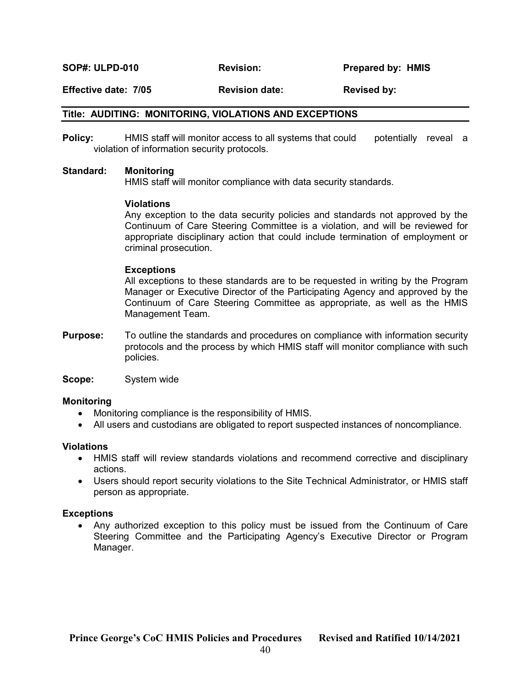SOP#: ULPD-010 **Revision:** Prepared by: HMIS

#### Effective date: 7/05 Revision date: Revised by:

#### Title: AUDITING: MONITORING, VIOLATIONS AND EXCEPTIONS

Policy: HMIS staff will monitor access to all systems that could potentially reveal a violation of information security protocols.

#### Standard: Monitoring

HMIS staff will monitor compliance with data security standards.

#### Violations

Any exception to the data security policies and standards not approved by the Continuum of Care Steering Committee is a violation, and will be reviewed for appropriate disciplinary action that could include termination of employment or criminal prosecution.

#### Exceptions

All exceptions to these standards are to be requested in writing by the Program Manager or Executive Director of the Participating Agency and approved by the Continuum of Care Steering Committee as appropriate, as well as the HMIS Management Team.

**Purpose:** To outline the standards and procedures on compliance with information security protocols and the process by which HMIS staff will monitor compliance with such policies.

Scope: System wide

#### Monitoring

- Monitoring compliance is the responsibility of HMIS.
- All users and custodians are obligated to report suspected instances of noncompliance.

#### Violations

- HMIS staff will review standards violations and recommend corrective and disciplinary actions.
- Users should report security violations to the Site Technical Administrator, or HMIS staff person as appropriate.

#### **Exceptions**

 Any authorized exception to this policy must be issued from the Continuum of Care Steering Committee and the Participating Agency's Executive Director or Program Manager.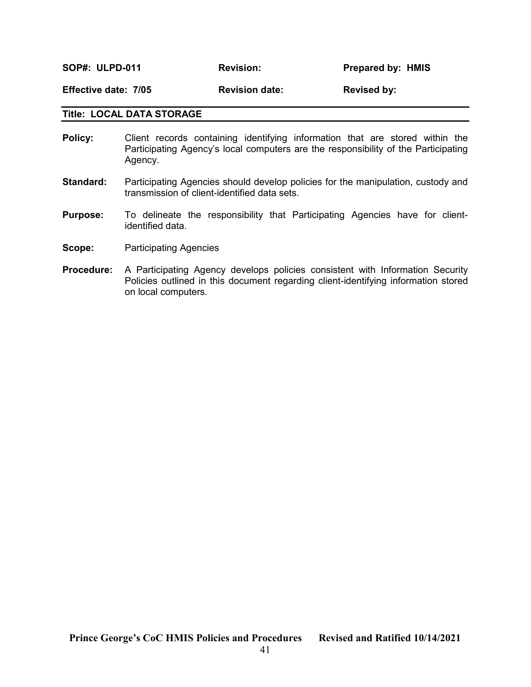SOP#: ULPD-011 Revision: Prepared by: HMIS

Effective date: 7/05 Revision date: Revised by:

#### Title: LOCAL DATA STORAGE

- Policy: Client records containing identifying information that are stored within the Participating Agency's local computers are the responsibility of the Participating Agency.
- **Standard:** Participating Agencies should develop policies for the manipulation, custody and transmission of client-identified data sets.
- Purpose: To delineate the responsibility that Participating Agencies have for clientidentified data.
- Scope: Participating Agencies
- Procedure: A Participating Agency develops policies consistent with Information Security Policies outlined in this document regarding client-identifying information stored on local computers.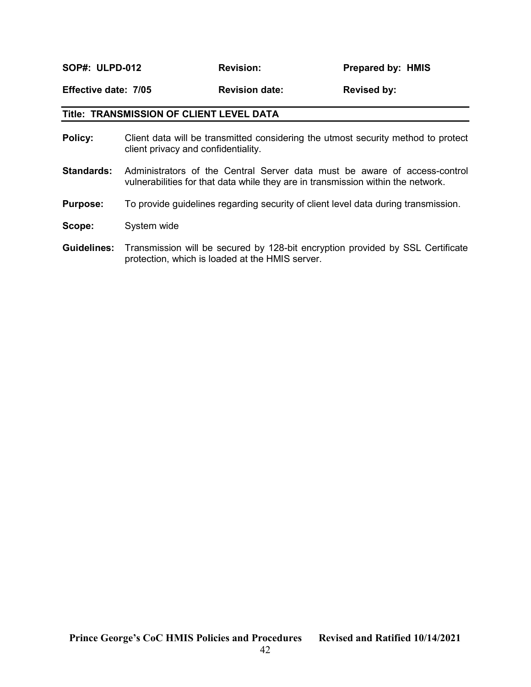SOP#: ULPD-012 Revision: Prepared by: HMIS

Effective date: 7/05 Revision date: Revised by:

#### Title: TRANSMISSION OF CLIENT LEVEL DATA

- Policy: Client data will be transmitted considering the utmost security method to protect client privacy and confidentiality.
- Standards: Administrators of the Central Server data must be aware of access-control vulnerabilities for that data while they are in transmission within the network.
- **Purpose:** To provide guidelines regarding security of client level data during transmission.
- Scope: System wide
- Guidelines: Transmission will be secured by 128-bit encryption provided by SSL Certificate protection, which is loaded at the HMIS server.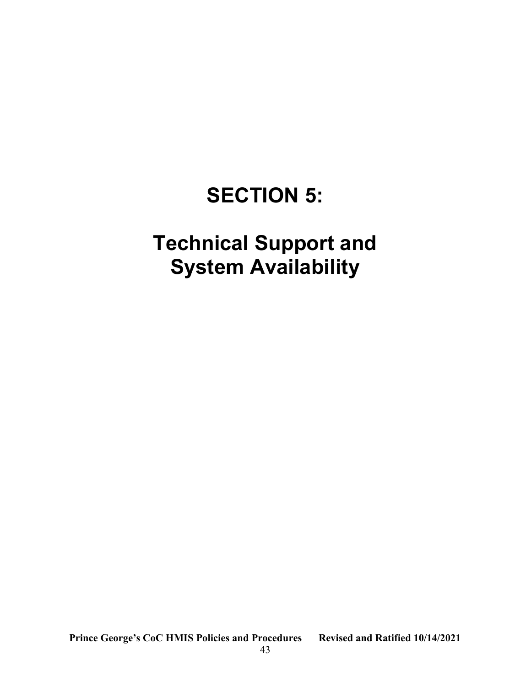## SECTION 5:

## Technical Support and System Availability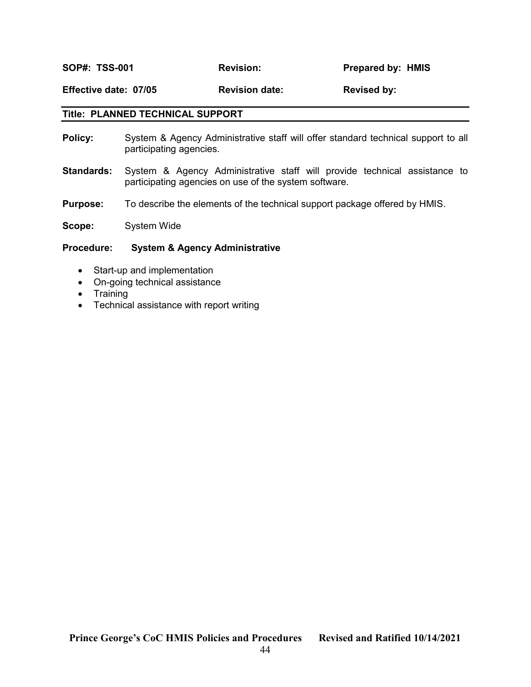SOP#: TSS-001 Revision: Prepared by: HMIS

Effective date: 07/05 Revision date: Revised by:

#### Title: PLANNED TECHNICAL SUPPORT

- Policy: System & Agency Administrative staff will offer standard technical support to all participating agencies.
- **Standards:** System & Agency Administrative staff will provide technical assistance to participating agencies on use of the system software.
- Purpose: To describe the elements of the technical support package offered by HMIS.

Scope: System Wide

#### Procedure: System & Agency Administrative

- Start-up and implementation
- On-going technical assistance
- Training
- Technical assistance with report writing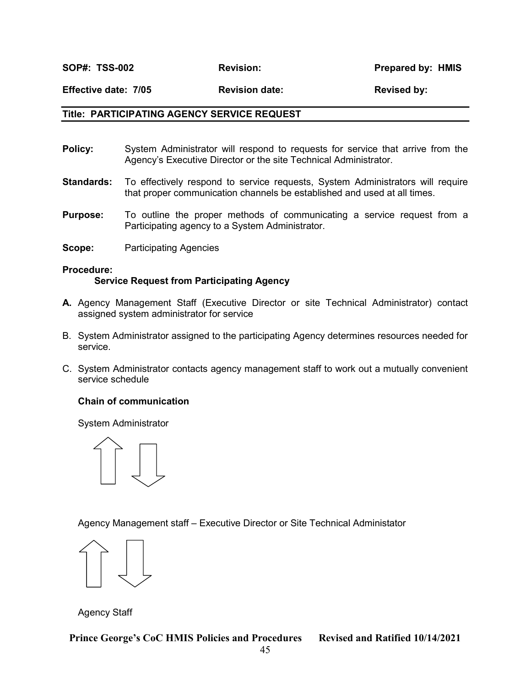SOP#: TSS-002 Revision: Revision: Prepared by: HMIS

Effective date: 7/05 Revision date: Revised by:

#### Title: PARTICIPATING AGENCY SERVICE REQUEST

- **Policy:** System Administrator will respond to requests for service that arrive from the Agency's Executive Director or the site Technical Administrator.
- **Standards:** To effectively respond to service requests, System Administrators will require that proper communication channels be established and used at all times.
- **Purpose:** To outline the proper methods of communicating a service request from a Participating agency to a System Administrator.
- Scope: Participating Agencies

Procedure: Service Request from Participating Agency

- A. Agency Management Staff (Executive Director or site Technical Administrator) contact assigned system administrator for service
- B. System Administrator assigned to the participating Agency determines resources needed for service.
- C. System Administrator contacts agency management staff to work out a mutually convenient service schedule

#### Chain of communication

System Administrator



Agency Management staff – Executive Director or Site Technical Administator

Agency Staff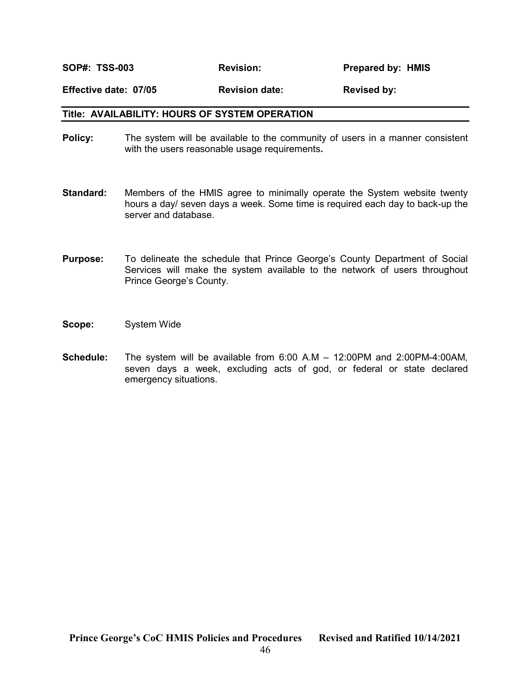SOP#: TSS-003 Revision: Prepared by: HMIS

Effective date: 07/05 Revision date: Revised by:

#### Title: AVAILABILITY: HOURS OF SYSTEM OPERATION

- **Policy:** The system will be available to the community of users in a manner consistent with the users reasonable usage requirements.
- **Standard:** Members of the HMIS agree to minimally operate the System website twenty hours a day/ seven days a week. Some time is required each day to back-up the server and database.
- Purpose: To delineate the schedule that Prince George's County Department of Social Services will make the system available to the network of users throughout Prince George's County.
- Scope: System Wide
- Schedule: The system will be available from 6:00 A.M 12:00PM and 2:00PM-4:00AM, seven days a week, excluding acts of god, or federal or state declared emergency situations.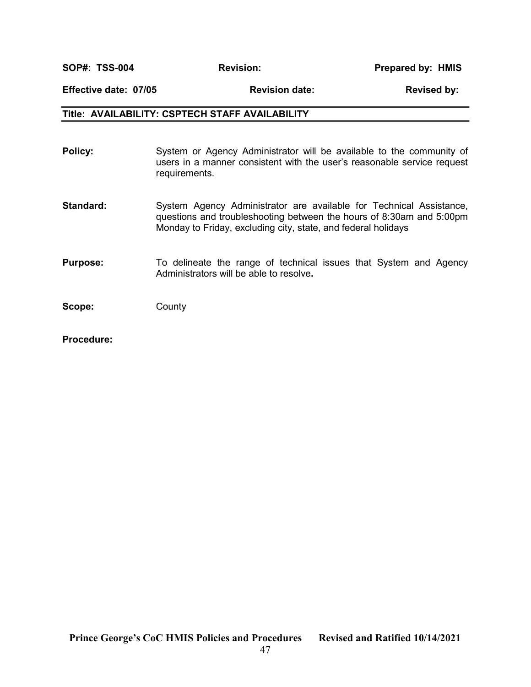SOP#: TSS-004 Revision: Revision: Prepared by: HMIS

#### Effective date: 07/05 Revision date: Revised by:

#### Title: AVAILABILITY: CSPTECH STAFF AVAILABILITY

| Policy:         | System or Agency Administrator will be available to the community of<br>users in a manner consistent with the user's reasonable service request<br>requirements.                                             |
|-----------------|--------------------------------------------------------------------------------------------------------------------------------------------------------------------------------------------------------------|
| Standard:       | System Agency Administrator are available for Technical Assistance,<br>questions and troubleshooting between the hours of 8:30am and 5:00pm<br>Monday to Friday, excluding city, state, and federal holidays |
| <b>Purpose:</b> | To delineate the range of technical issues that System and Agency<br>Administrators will be able to resolve.                                                                                                 |
| Scope:          | County                                                                                                                                                                                                       |

Procedure: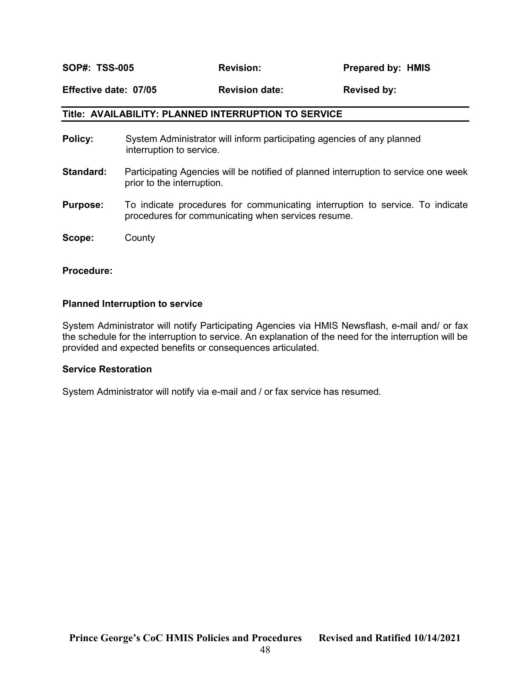SOP#: TSS-005 Revision: Prepared by: HMIS

#### Effective date: 07/05 Revision date: Revised by:

#### Title: AVAILABILITY: PLANNED INTERRUPTION TO SERVICE

- **Policy:** System Administrator will inform participating agencies of any planned interruption to service.
- Standard: Participating Agencies will be notified of planned interruption to service one week prior to the interruption.
- **Purpose:** To indicate procedures for communicating interruption to service. To indicate procedures for communicating when services resume.

Scope: County

#### Procedure:

#### Planned Interruption to service

System Administrator will notify Participating Agencies via HMIS Newsflash, e-mail and/ or fax the schedule for the interruption to service. An explanation of the need for the interruption will be provided and expected benefits or consequences articulated.

#### Service Restoration

System Administrator will notify via e-mail and / or fax service has resumed.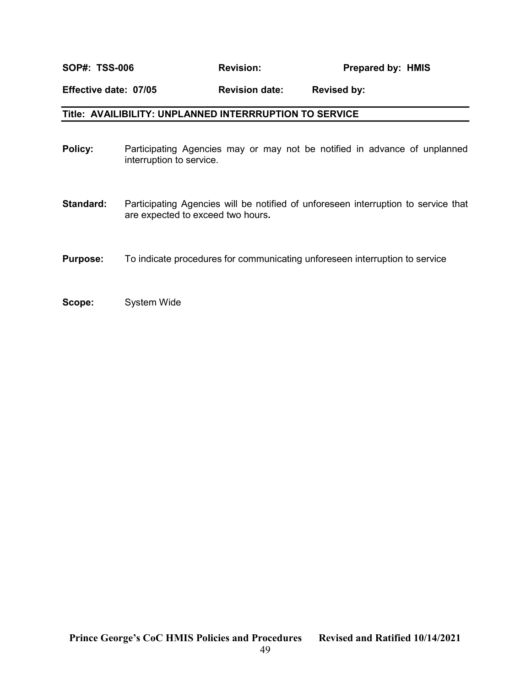### SOP#: TSS-006 Revision: Prepared by: HMIS

#### Effective date: 07/05 Revision date: Revised by:

#### Title: AVAILIBILITY: UNPLANNED INTERRRUPTION TO SERVICE

- Policy: Participating Agencies may or may not be notified in advance of unplanned interruption to service.
- Standard: Participating Agencies will be notified of unforeseen interruption to service that are expected to exceed two hours.
- **Purpose:** To indicate procedures for communicating unforeseen interruption to service
- Scope: System Wide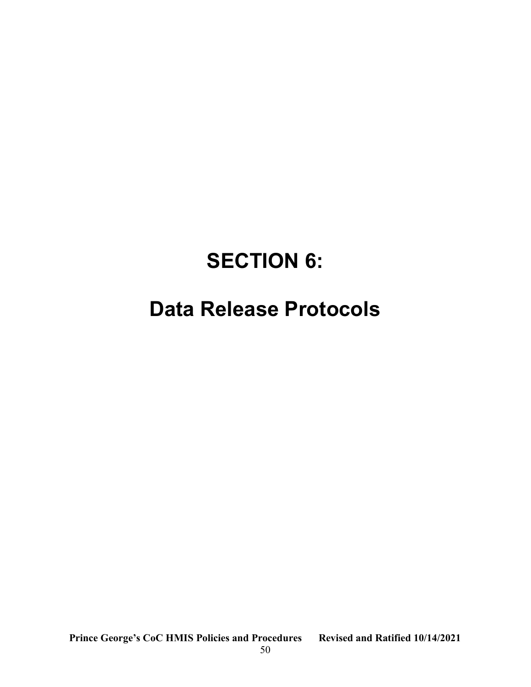## SECTION 6:

## Data Release Protocols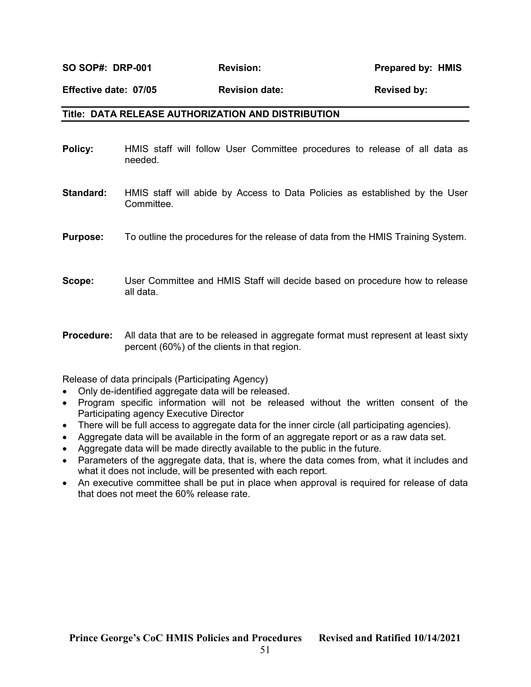SO SOP#: DRP-001 Revision: Prepared by: HMIS

Effective date: 07/05 Revision date: Revised by:

#### Title: DATA RELEASE AUTHORIZATION AND DISTRIBUTION

| Policy:          | HMIS staff will follow User Committee procedures to release of all data as<br>needed.     |
|------------------|-------------------------------------------------------------------------------------------|
| <b>Standard:</b> | HMIS staff will abide by Access to Data Policies as established by the User<br>Committee. |
| <b>Purpose:</b>  | To outline the procedures for the release of data from the HMIS Training System.          |
| Scope:           | User Committee and HMIS Staff will decide based on procedure how to release<br>all data.  |

**Procedure:** All data that are to be released in aggregate format must represent at least sixty percent (60%) of the clients in that region.

Release of data principals (Participating Agency)

- Only de-identified aggregate data will be released.
- Program specific information will not be released without the written consent of the Participating agency Executive Director
- There will be full access to aggregate data for the inner circle (all participating agencies).
- Aggregate data will be available in the form of an aggregate report or as a raw data set.
- Aggregate data will be made directly available to the public in the future.
- Parameters of the aggregate data, that is, where the data comes from, what it includes and what it does not include, will be presented with each report.
- An executive committee shall be put in place when approval is required for release of data that does not meet the 60% release rate.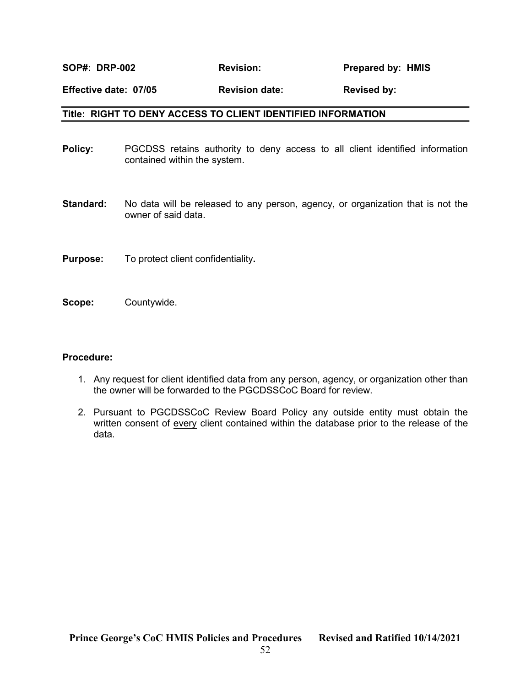SOP#: DRP-002 Revision: Prepared by: HMIS

#### Effective date: 07/05 Revision date: Revised by:

#### Title: RIGHT TO DENY ACCESS TO CLIENT IDENTIFIED INFORMATION

- **Policy:** PGCDSS retains authority to deny access to all client identified information contained within the system.
- **Standard:** No data will be released to any person, agency, or organization that is not the owner of said data.
- **Purpose:** To protect client confidentiality.
- Scope: Countywide.

#### Procedure:

- 1. Any request for client identified data from any person, agency, or organization other than the owner will be forwarded to the PGCDSSCoC Board for review.
- 2. Pursuant to PGCDSSCoC Review Board Policy any outside entity must obtain the written consent of every client contained within the database prior to the release of the data.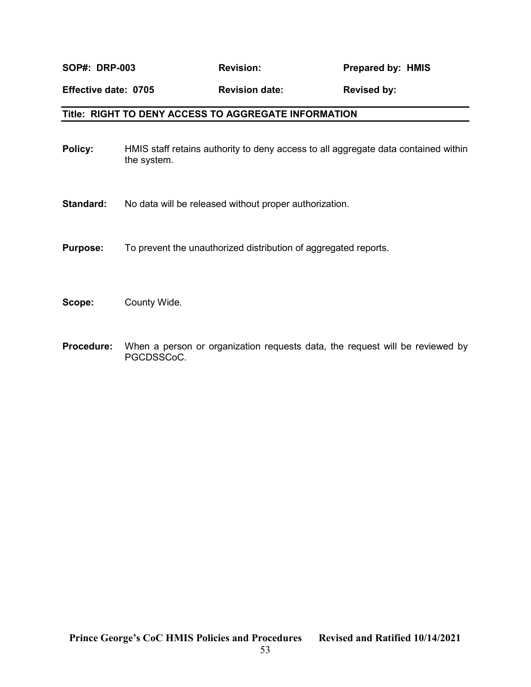#### Title: RIGHT TO DENY ACCESS TO AGGREGATE INFORMATION

- Policy: HMIS staff retains authority to deny access to all aggregate data contained within the system.
- Standard: No data will be released without proper authorization.
- **Purpose:** To prevent the unauthorized distribution of aggregated reports.
- Scope: County Wide.
- **Procedure:** When a person or organization requests data, the request will be reviewed by PGCDSSCoC.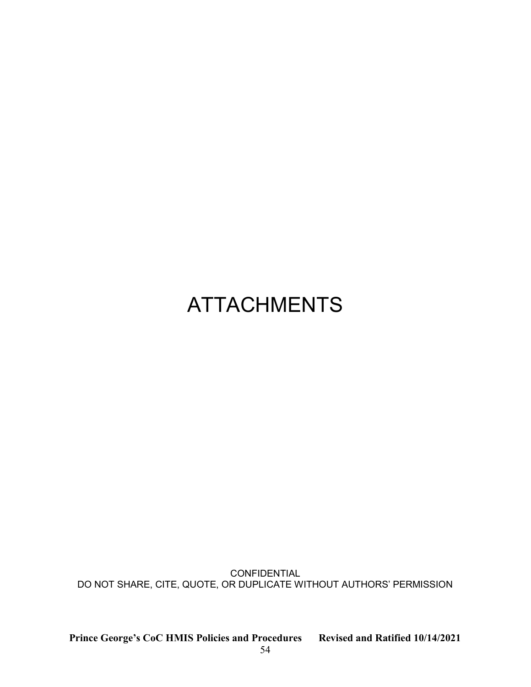## ATTACHMENTS

CONFIDENTIAL DO NOT SHARE, CITE, QUOTE, OR DUPLICATE WITHOUT AUTHORS' PERMISSION

Prince George's CoC HMIS Policies and Procedures Revised and Ratified 10/14/2021

54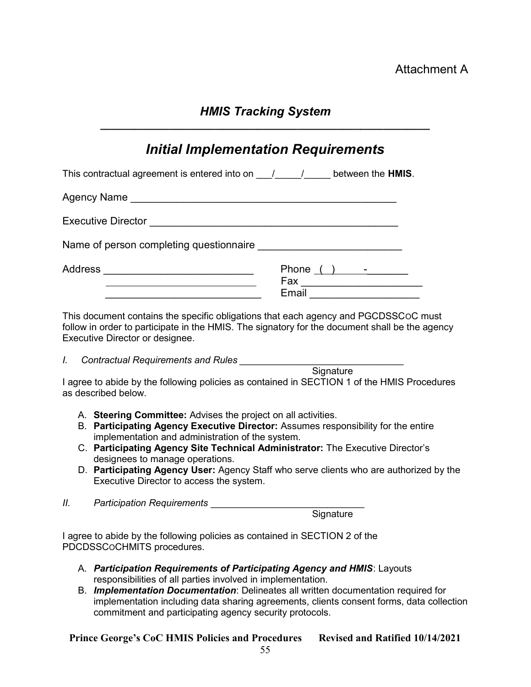### HMIS Tracking System

|                     | <b>Initial Implementation Requirements</b>                                                                                                                                                                                                                                                                                                                                                                            |
|---------------------|-----------------------------------------------------------------------------------------------------------------------------------------------------------------------------------------------------------------------------------------------------------------------------------------------------------------------------------------------------------------------------------------------------------------------|
|                     | This contractual agreement is entered into on $\underline{\hspace{1cm}}$ / ______ between the HMIS.                                                                                                                                                                                                                                                                                                                   |
|                     |                                                                                                                                                                                                                                                                                                                                                                                                                       |
|                     |                                                                                                                                                                                                                                                                                                                                                                                                                       |
|                     |                                                                                                                                                                                                                                                                                                                                                                                                                       |
|                     | Address __________________________________<br>Phone $( )$ $-$<br><u> 1989 - Johann Barbara, martxa alemaniar arg</u><br>Email _______________________                                                                                                                                                                                                                                                                 |
| L.                  | This document contains the specific obligations that each agency and PGCDSSCoC must<br>follow in order to participate in the HMIS. The signatory for the document shall be the agency<br>Executive Director or designee.                                                                                                                                                                                              |
| as described below. | Signature<br>I agree to abide by the following policies as contained in SECTION 1 of the HMIS Procedures                                                                                                                                                                                                                                                                                                              |
|                     | A. Steering Committee: Advises the project on all activities.<br>B. Participating Agency Executive Director: Assumes responsibility for the entire<br>implementation and administration of the system.<br>C. Participating Agency Site Technical Administrator: The Executive Director's<br>designees to manage operations.<br>D. Participating Agency User: Agency Staff who serve clients who are authorized by the |

- Executive Director to access the system.
- II. Participation Requirements

**Signature** 

I agree to abide by the following policies as contained in SECTION 2 of the PDCDSSCOCHMITS procedures.

- A. Participation Requirements of Participating Agency and HMIS: Layouts responsibilities of all parties involved in implementation.
- B. Implementation Documentation: Delineates all written documentation required for implementation including data sharing agreements, clients consent forms, data collection commitment and participating agency security protocols.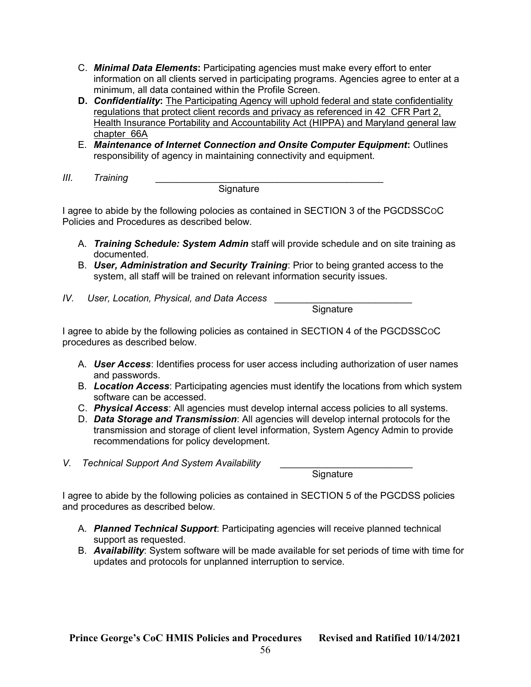- C. **Minimal Data Elements:** Participating agencies must make every effort to enter information on all clients served in participating programs. Agencies agree to enter at a minimum, all data contained within the Profile Screen.
- D. Confidentiality: The Participating Agency will uphold federal and state confidentiality regulations that protect client records and privacy as referenced in 42 CFR Part 2, Health Insurance Portability and Accountability Act (HIPPA) and Maryland general law chapter 66A
- E. Maintenance of Internet Connection and Onsite Computer Equipment: Outlines responsibility of agency in maintaining connectivity and equipment.
- III. Training \_\_\_\_\_\_\_\_\_\_\_\_\_\_\_\_\_\_\_\_\_\_\_\_\_\_\_\_\_\_\_\_\_\_\_\_\_\_\_\_\_\_\_

**Signature** 

I agree to abide by the following polocies as contained in SECTION 3 of the PGCDSSCOC Policies and Procedures as described below.

- A. Training Schedule: System Admin staff will provide schedule and on site training as documented.
- B. User, Administration and Security Training: Prior to being granted access to the system, all staff will be trained on relevant information security issues.
- IV. User, Location, Physical, and Data Access \_

Signature

I agree to abide by the following policies as contained in SECTION 4 of the PGCDSSCOC procedures as described below.

- A. **User Access**: Identifies process for user access including authorization of user names and passwords.
- B. Location Access: Participating agencies must identify the locations from which system software can be accessed.
- C. Physical Access: All agencies must develop internal access policies to all systems.
- D. Data Storage and Transmission: All agencies will develop internal protocols for the transmission and storage of client level information, System Agency Admin to provide recommendations for policy development.
- V. Technical Support And System Availability

Signature

I agree to abide by the following policies as contained in SECTION 5 of the PGCDSS policies and procedures as described below.

- A. Planned Technical Support: Participating agencies will receive planned technical support as requested.
- B. Availability: System software will be made available for set periods of time with time for updates and protocols for unplanned interruption to service.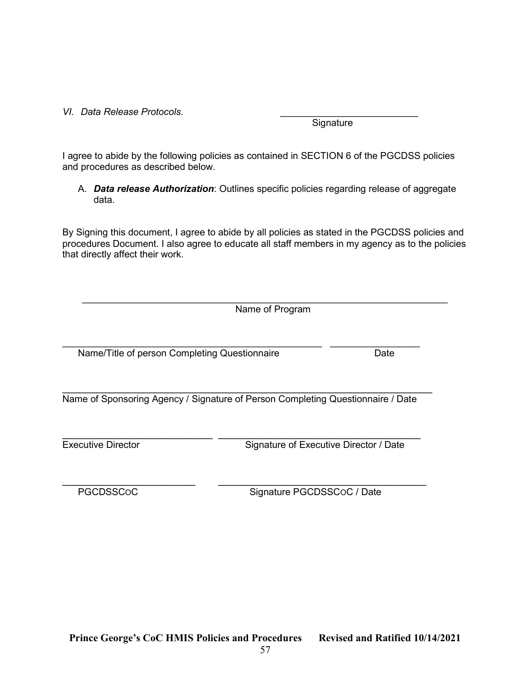#### VI. Data Release Protocols.

I agree to abide by the following policies as contained in SECTION 6 of the PGCDSS policies and procedures as described below.

A. Data release Authorization: Outlines specific policies regarding release of aggregate data.

By Signing this document, I agree to abide by all policies as stated in the PGCDSS policies and procedures Document. I also agree to educate all staff members in my agency as to the policies that directly affect their work.

 $\_$ Name of Program

 $\mathcal{L}_\text{max} = \mathcal{L}_\text{max} = \mathcal{L}_\text{max} = \mathcal{L}_\text{max} = \mathcal{L}_\text{max} = \mathcal{L}_\text{max} = \mathcal{L}_\text{max} = \mathcal{L}_\text{max} = \mathcal{L}_\text{max} = \mathcal{L}_\text{max} = \mathcal{L}_\text{max} = \mathcal{L}_\text{max} = \mathcal{L}_\text{max} = \mathcal{L}_\text{max} = \mathcal{L}_\text{max} = \mathcal{L}_\text{max} = \mathcal{L}_\text{max} = \mathcal{L}_\text{max} = \mathcal{$ Name/Title of person Completing Questionnaire **Date** Date

 $\mathcal{L}_\text{max}$  and  $\mathcal{L}_\text{max}$  and  $\mathcal{L}_\text{max}$  and  $\mathcal{L}_\text{max}$  and  $\mathcal{L}_\text{max}$  and  $\mathcal{L}_\text{max}$ Name of Sponsoring Agency / Signature of Person Completing Questionnaire / Date

 $\mathcal{L}_\text{max}$  , and the contribution of the contribution of the contribution of the contribution of the contribution of the contribution of the contribution of the contribution of the contribution of the contribution of t Executive Director Signature of Executive Director / Date

 $\frac{1}{2}$  ,  $\frac{1}{2}$  ,  $\frac{1}{2}$  ,  $\frac{1}{2}$  ,  $\frac{1}{2}$  ,  $\frac{1}{2}$  ,  $\frac{1}{2}$  ,  $\frac{1}{2}$  ,  $\frac{1}{2}$  ,  $\frac{1}{2}$  ,  $\frac{1}{2}$  ,  $\frac{1}{2}$  ,  $\frac{1}{2}$  ,  $\frac{1}{2}$  ,  $\frac{1}{2}$  ,  $\frac{1}{2}$  ,  $\frac{1}{2}$  ,  $\frac{1}{2}$  ,  $\frac{1$ PGCDSSCoC Signature PGCDSSCoC / Date

**Signature**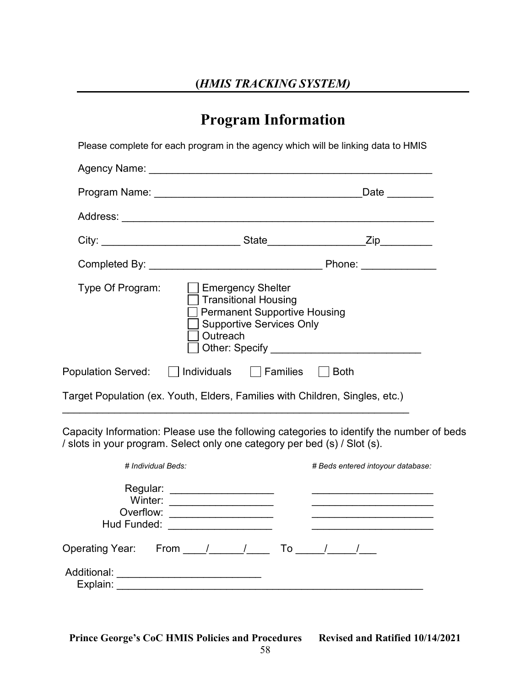### Program Information

| Please complete for each program in the agency which will be linking data to HMIS                                                                                                                                             |  |  |  |  |  |
|-------------------------------------------------------------------------------------------------------------------------------------------------------------------------------------------------------------------------------|--|--|--|--|--|
|                                                                                                                                                                                                                               |  |  |  |  |  |
|                                                                                                                                                                                                                               |  |  |  |  |  |
|                                                                                                                                                                                                                               |  |  |  |  |  |
|                                                                                                                                                                                                                               |  |  |  |  |  |
|                                                                                                                                                                                                                               |  |  |  |  |  |
| Type Of Program:<br>$\Box$ Emergency Shelter<br>$\overline{\phantom{a}}$ Transitional Housing<br><b>Permanent Supportive Housing</b><br>Supportive Services Only<br>Outreach<br>] Other: Specify ____________________________ |  |  |  |  |  |
| Population Served: $\Box$ Individuals $\Box$ Families $\Box$ Both                                                                                                                                                             |  |  |  |  |  |
| Target Population (ex. Youth, Elders, Families with Children, Singles, etc.)                                                                                                                                                  |  |  |  |  |  |

Capacity Information: Please use the following categories to identify the number of beds / slots in your program. Select only one category per bed (s) / Slot (s).

 $\mathcal{L}_\text{max}$  , and the contribution of the contribution of the contribution of the contribution of the contribution of the contribution of the contribution of the contribution of the contribution of the contribution of t

|                                                 | # Individual Beds: | # Beds entered intoyour database: |  |
|-------------------------------------------------|--------------------|-----------------------------------|--|
| Regular:<br>Winter:<br>Overflow:<br>Hud Funded: |                    |                                   |  |
| <b>Operating Year:</b>                          | From / / To        |                                   |  |
| Additional:<br>Explain:                         |                    |                                   |  |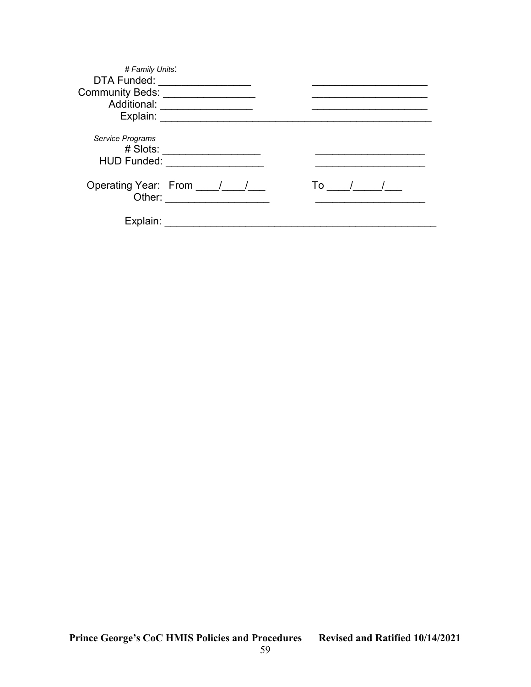| # Family Units:                 |                                                                                                                                                         |    |
|---------------------------------|---------------------------------------------------------------------------------------------------------------------------------------------------------|----|
| DTA Funded:                     |                                                                                                                                                         |    |
| Community Beds: Community Beds: |                                                                                                                                                         |    |
| Additional:                     |                                                                                                                                                         |    |
| Explain:                        |                                                                                                                                                         |    |
| Service Programs<br># Slots:    |                                                                                                                                                         |    |
| <b>HUD Funded:</b>              |                                                                                                                                                         |    |
|                                 |                                                                                                                                                         |    |
| Other:                          | Operating Year: From ____/___/<br><u> 1980 - Jan Barat, prima prima prima prima prima prima prima prima prima prima prima prima prima prima prima p</u> | To |
| Explain:                        |                                                                                                                                                         |    |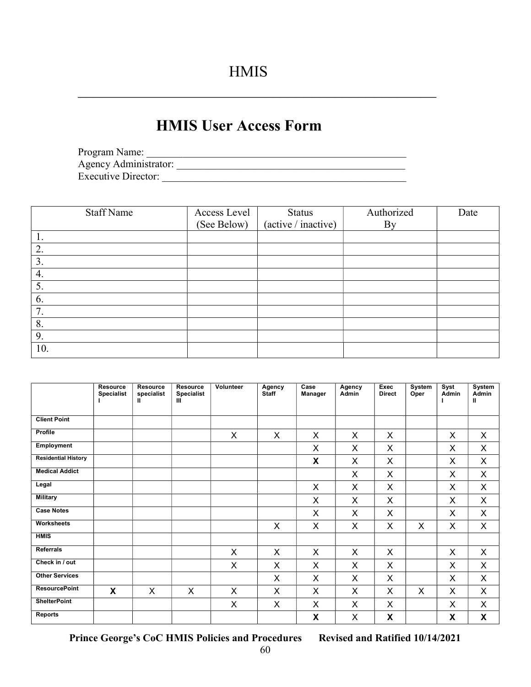$\mathcal{L}_\text{max}$  and the contract of the contract of the contract of the contract of the contract of the contract of the contract of the contract of the contract of the contract of the contract of the contract of the contrac

### HMIS User Access Form

| Program Name:              |  |
|----------------------------|--|
| Agency Administrator:      |  |
| <b>Executive Director:</b> |  |

| <b>Staff Name</b> | Access Level<br>(See Below) | Status<br>(active / inactive) | Authorized<br><b>By</b> | Date |
|-------------------|-----------------------------|-------------------------------|-------------------------|------|
|                   |                             |                               |                         |      |
| 1.                |                             |                               |                         |      |
| 2.                |                             |                               |                         |      |
| 3.                |                             |                               |                         |      |
| 4.                |                             |                               |                         |      |
| 5.                |                             |                               |                         |      |
| 6.                |                             |                               |                         |      |
| 7.                |                             |                               |                         |      |
| 8.                |                             |                               |                         |      |
| 9.                |                             |                               |                         |      |
| 10.               |                             |                               |                         |      |

|                            | <b>Resource</b><br><b>Specialist</b> | <b>Resource</b><br>specialist<br>Ш | <b>Resource</b><br><b>Specialist</b><br>Ш | Volunteer | Agency<br><b>Staff</b> | Case<br>Manager | Agency<br><b>Admin</b> | <b>Exec</b><br><b>Direct</b> | System<br>Oper | Syst<br><b>Admin</b> | System<br>Admin<br>$\mathbf{I}$ |
|----------------------------|--------------------------------------|------------------------------------|-------------------------------------------|-----------|------------------------|-----------------|------------------------|------------------------------|----------------|----------------------|---------------------------------|
| <b>Client Point</b>        |                                      |                                    |                                           |           |                        |                 |                        |                              |                |                      |                                 |
| Profile                    |                                      |                                    |                                           | X         | X                      | X               | X                      | X                            |                | X                    | X                               |
| Employment                 |                                      |                                    |                                           |           |                        | X               | X                      | X                            |                | X                    | X                               |
| <b>Residential History</b> |                                      |                                    |                                           |           |                        | X               | X                      | X                            |                | X                    | X                               |
| <b>Medical Addict</b>      |                                      |                                    |                                           |           |                        |                 | X                      | X                            |                | X                    | X                               |
| Legal                      |                                      |                                    |                                           |           |                        | X               | X                      | X                            |                | X                    | X                               |
| <b>Military</b>            |                                      |                                    |                                           |           |                        | X               | X                      | X                            |                | X                    | X                               |
| <b>Case Notes</b>          |                                      |                                    |                                           |           |                        | X               | X                      | X                            |                | X                    | $\mathsf{X}$                    |
| Worksheets                 |                                      |                                    |                                           |           | X                      | X               | X                      | X                            | X              | X                    | $\mathsf{X}$                    |
| <b>HMIS</b>                |                                      |                                    |                                           |           |                        |                 |                        |                              |                |                      |                                 |
| <b>Referrals</b>           |                                      |                                    |                                           | X         | X                      | $\sf X$         | X                      | X                            |                | X                    | X                               |
| Check in / out             |                                      |                                    |                                           | X         | X                      | X               | X                      | X                            |                | X                    | X                               |
| <b>Other Services</b>      |                                      |                                    |                                           |           | X                      | X               | X                      | X                            |                | X                    | X                               |
| <b>ResourcePoint</b>       | X                                    | X                                  | X                                         | X         | X                      | X               | X                      | X                            | X              | X                    | X                               |
| <b>ShelterPoint</b>        |                                      |                                    |                                           | X         | X                      | X               | X                      | X                            |                | X                    | X                               |
| <b>Reports</b>             |                                      |                                    |                                           |           |                        | X               | X                      | X                            |                | X                    | X                               |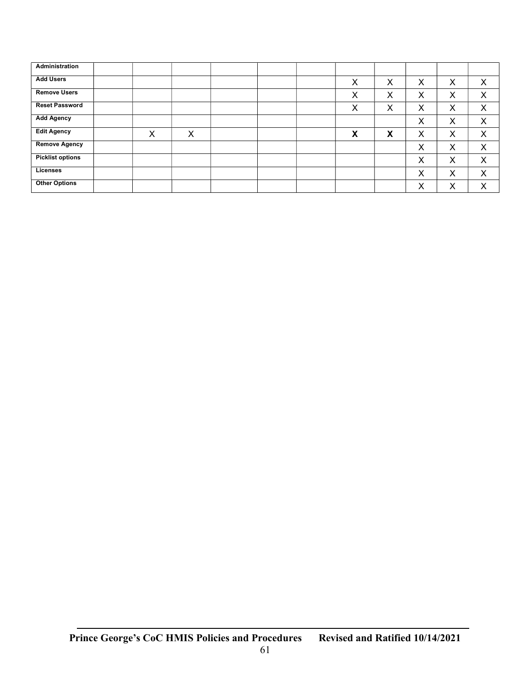| Administration          |   |   |  |   |   |   |   |   |
|-------------------------|---|---|--|---|---|---|---|---|
| <b>Add Users</b>        |   |   |  | X | Х | X | Х | Χ |
| <b>Remove Users</b>     |   |   |  | X | X | X | X | X |
| <b>Reset Password</b>   |   |   |  | X | Х | X | Х | X |
| <b>Add Agency</b>       |   |   |  |   |   | X | Х | Χ |
| <b>Edit Agency</b>      | Χ | X |  | X | X | X | Х | X |
| <b>Remove Agency</b>    |   |   |  |   |   | X | Х | X |
| <b>Picklist options</b> |   |   |  |   |   | X | Х | Χ |
| Licenses                |   |   |  |   |   | X | Х | X |
| <b>Other Options</b>    |   |   |  |   |   | Χ | Х | Χ |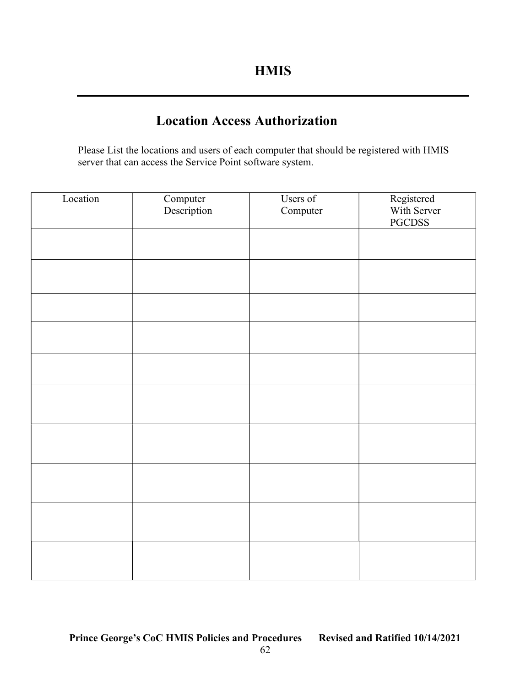### Location Access Authorization

Please List the locations and users of each computer that should be registered with HMIS server that can access the Service Point software system.

| Location | Computer<br>Description | Users of<br>Computer | Registered<br>With Server<br>PGCDSS |
|----------|-------------------------|----------------------|-------------------------------------|
|          |                         |                      |                                     |
|          |                         |                      |                                     |
|          |                         |                      |                                     |
|          |                         |                      |                                     |
|          |                         |                      |                                     |
|          |                         |                      |                                     |
|          |                         |                      |                                     |
|          |                         |                      |                                     |
|          |                         |                      |                                     |
|          |                         |                      |                                     |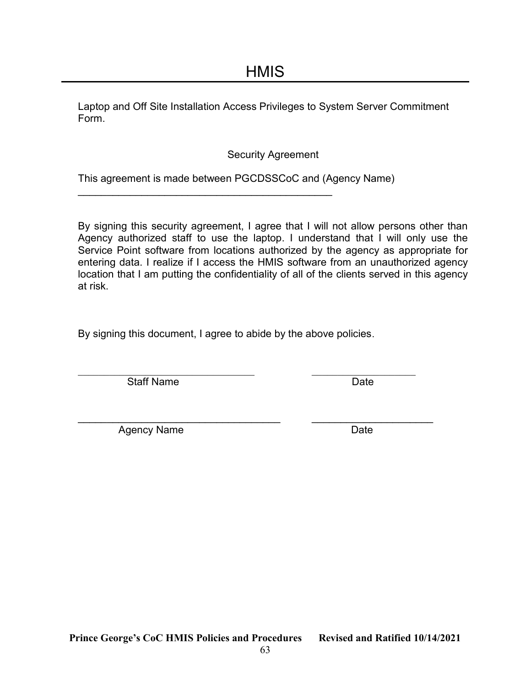Laptop and Off Site Installation Access Privileges to System Server Commitment Form.

Security Agreement

This agreement is made between PGCDSSCoC and (Agency Name)

 $\overline{\phantom{a}}$  , and the set of the set of the set of the set of the set of the set of the set of the set of the set of the set of the set of the set of the set of the set of the set of the set of the set of the set of the s

By signing this security agreement, I agree that I will not allow persons other than Agency authorized staff to use the laptop. I understand that I will only use the Service Point software from locations authorized by the agency as appropriate for entering data. I realize if I access the HMIS software from an unauthorized agency location that I am putting the confidentiality of all of the clients served in this agency at risk.

By signing this document, I agree to abide by the above policies.

Staff Name Date Date

\_\_\_\_\_\_\_\_\_\_\_\_\_\_\_\_\_\_\_\_\_\_\_\_\_\_\_\_\_\_\_\_\_\_\_ \_\_\_\_\_\_\_\_\_\_\_\_\_\_\_\_\_\_\_\_\_ Agency Name Date Date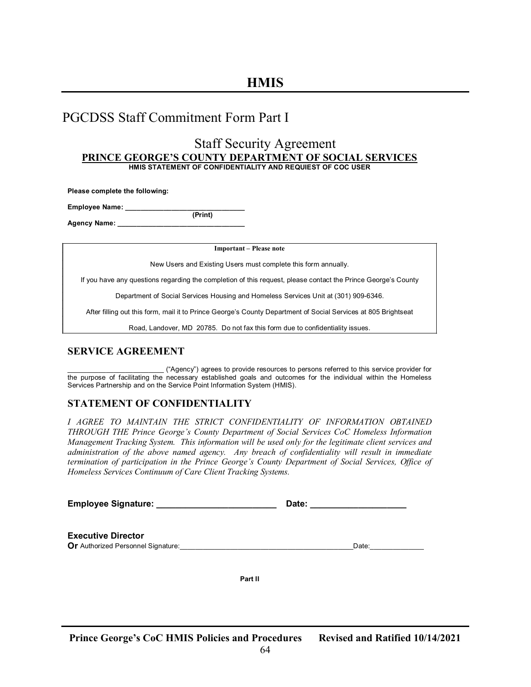### PGCDSS Staff Commitment Form Part I

#### Staff Security Agreement PRINCE GEORGE'S COUNTY DEPARTMENT OF SOCIAL SERVICES HMIS STATEMENT OF CONFIDENTIALITY AND REQUIEST OF COC USER

Please complete the following:

Employee Name:

 (Print) Agency Name: \_\_\_\_\_\_\_\_\_\_\_\_\_\_\_\_\_\_\_\_\_\_\_\_\_\_\_\_\_\_\_\_\_

Important – Please note

New Users and Existing Users must complete this form annually.

If you have any questions regarding the completion of this request, please contact the Prince George's County

Department of Social Services Housing and Homeless Services Unit at (301) 909-6346.

After filling out this form, mail it to Prince George's County Department of Social Services at 805 Brightseat

Road, Landover, MD 20785. Do not fax this form due to confidentiality issues.

#### SERVICE AGREEMENT

\_\_\_\_\_\_\_\_\_\_\_\_\_\_\_\_\_\_\_\_\_\_\_\_\_ ("Agency") agrees to provide resources to persons referred to this service provider for the purpose of facilitating the necessary established goals and outcomes for the individual within the Homeless Services Partnership and on the Service Point Information System (HMIS).

#### STATEMENT OF CONFIDENTIALITY

I AGREE TO MAINTAIN THE STRICT CONFIDENTIALITY OF INFORMATION OBTAINED THROUGH THE Prince George's County Department of Social Services CoC Homeless Information Management Tracking System. This information will be used only for the legitimate client services and administration of the above named agency. Any breach of confidentiality will result in immediate termination of participation in the Prince George's County Department of Social Services, Office of Homeless Services Continuum of Care Client Tracking Systems.

Employee Signature: etc. and the control of the Date:  $\Box$  Date:  $\Box$ 

Executive Director Or Authorized Personnel Signature: etc. and the set of the set of the set of the set of the set of the set of the set of the set of the set of the set of the set of the set of the set of the set of the set of the set of th

Part II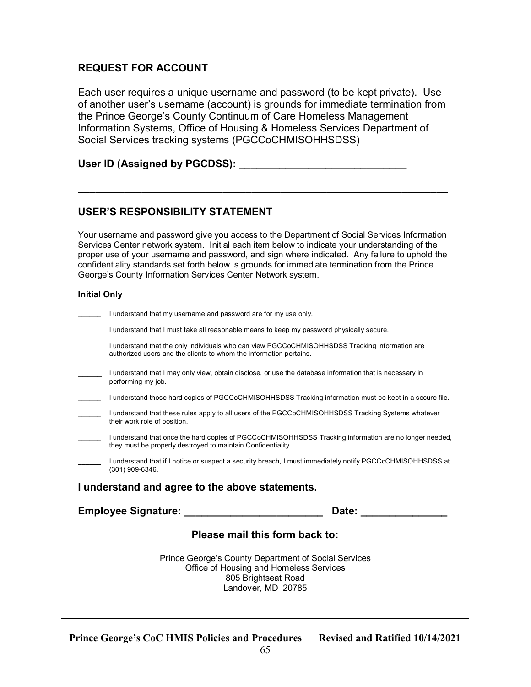### REQUEST FOR ACCOUNT

Each user requires a unique username and password (to be kept private). Use of another user's username (account) is grounds for immediate termination from the Prince George's County Continuum of Care Homeless Management Information Systems, Office of Housing & Homeless Services Department of Social Services tracking systems (PGCCoCHMISOHHSDSS)

#### User ID (Assigned by PGCDSS): \_\_\_\_\_\_\_\_\_\_\_\_\_\_\_\_\_\_\_\_\_\_\_\_\_\_\_\_\_

#### USER'S RESPONSIBILITY STATEMENT

Your username and password give you access to the Department of Social Services Information Services Center network system. Initial each item below to indicate your understanding of the proper use of your username and password, and sign where indicated. Any failure to uphold the confidentiality standards set forth below is grounds for immediate termination from the Prince George's County Information Services Center Network system.

\_\_\_\_\_\_\_\_\_\_\_\_\_\_\_\_\_\_\_\_\_\_\_\_\_\_\_\_\_\_\_\_\_\_\_\_\_\_\_\_\_\_\_\_\_\_\_\_\_\_\_\_\_\_\_\_\_\_\_\_\_\_\_\_

#### Initial Only

| I understand that my username and password are for my use only.                                                                                                        |       |
|------------------------------------------------------------------------------------------------------------------------------------------------------------------------|-------|
| I understand that I must take all reasonable means to keep my password physically secure.                                                                              |       |
| I understand that the only individuals who can view PGCCoCHMISOHHSDSS Tracking information are<br>authorized users and the clients to whom the information pertains.   |       |
| I understand that I may only view, obtain disclose, or use the database information that is necessary in<br>performing my job.                                         |       |
| I understand those hard copies of PGCCoCHMISOHHSDSS Tracking information must be kept in a secure file.                                                                |       |
| I understand that these rules apply to all users of the PGCCoCHMISOHHSDSS Tracking Systems whatever<br>their work role of position.                                    |       |
| I understand that once the hard copies of PGCCoCHMISOHHSDSS Tracking information are no longer needed,<br>they must be properly destroyed to maintain Confidentiality. |       |
| I understand that if I notice or suspect a security breach, I must immediately notify PGCCoCHMISOHHSDSS at<br>$(301)$ 909-6346.                                        |       |
| I understand and agree to the above statements.                                                                                                                        |       |
| Employee Signature: ______                                                                                                                                             | Date: |
| Please mail this form back to:                                                                                                                                         |       |
| Prince George's County Department of Social Services<br>Office of Housing and Homeless Services<br>805 Brightseat Road<br>Landover, MD 20785                           |       |

65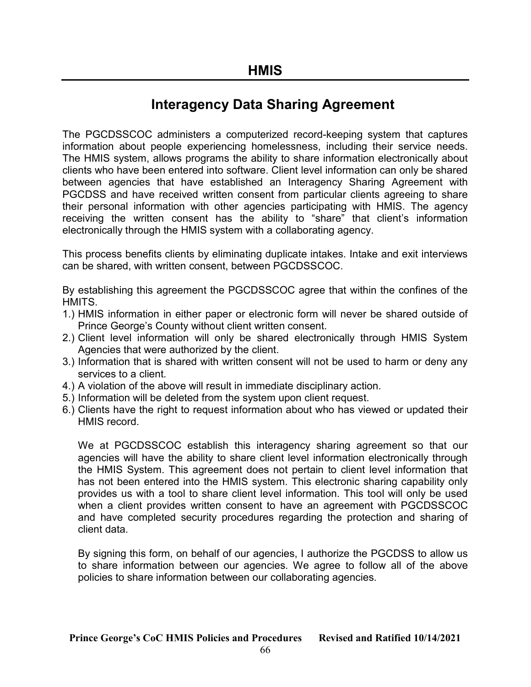### Interagency Data Sharing Agreement

The PGCDSSCOC administers a computerized record-keeping system that captures information about people experiencing homelessness, including their service needs. The HMIS system, allows programs the ability to share information electronically about clients who have been entered into software. Client level information can only be shared between agencies that have established an Interagency Sharing Agreement with PGCDSS and have received written consent from particular clients agreeing to share their personal information with other agencies participating with HMIS. The agency receiving the written consent has the ability to "share" that client's information electronically through the HMIS system with a collaborating agency.

This process benefits clients by eliminating duplicate intakes. Intake and exit interviews can be shared, with written consent, between PGCDSSCOC.

By establishing this agreement the PGCDSSCOC agree that within the confines of the HMITS.

- 1.) HMIS information in either paper or electronic form will never be shared outside of Prince George's County without client written consent.
- 2.) Client level information will only be shared electronically through HMIS System Agencies that were authorized by the client.
- 3.) Information that is shared with written consent will not be used to harm or deny any services to a client.
- 4.) A violation of the above will result in immediate disciplinary action.
- 5.) Information will be deleted from the system upon client request.
- 6.) Clients have the right to request information about who has viewed or updated their HMIS record.

We at PGCDSSCOC establish this interagency sharing agreement so that our agencies will have the ability to share client level information electronically through the HMIS System. This agreement does not pertain to client level information that has not been entered into the HMIS system. This electronic sharing capability only provides us with a tool to share client level information. This tool will only be used when a client provides written consent to have an agreement with PGCDSSCOC and have completed security procedures regarding the protection and sharing of client data.

By signing this form, on behalf of our agencies, I authorize the PGCDSS to allow us to share information between our agencies. We agree to follow all of the above policies to share information between our collaborating agencies.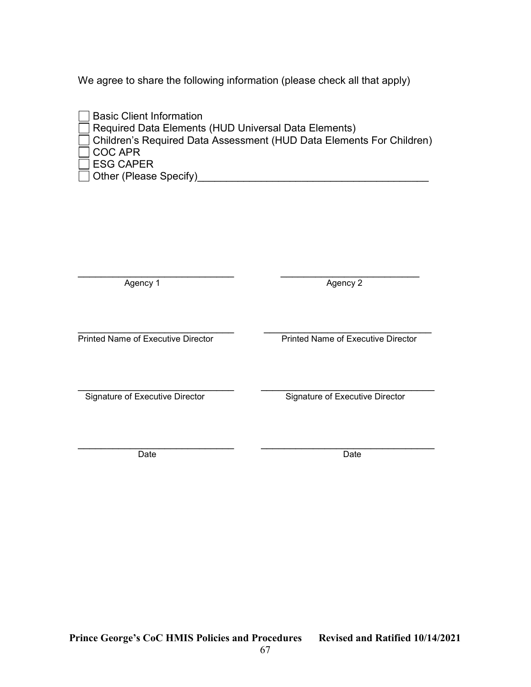We agree to share the following information (please check all that apply)

| □ Basic Client Information                                             |
|------------------------------------------------------------------------|
| Required Data Elements (HUD Universal Data Elements)                   |
| □ Children's Required Data Assessment (HUD Data Elements For Children) |
| $\Box$ COC APR                                                         |
| $\Box$ ESG CAPER                                                       |
| □ Other (Please Specify)                                               |

\_\_\_\_\_\_\_\_\_\_\_\_\_\_\_\_\_\_\_\_\_\_\_\_\_\_\_ \_\_\_\_\_\_\_\_\_\_\_\_\_\_\_\_\_\_\_\_\_\_\_\_ Agency 1 Agency 2

 $\mathcal{L}_\text{max}$  , and the contribution of the contribution of the contribution of the contribution of the contribution of the contribution of the contribution of the contribution of the contribution of the contribution of t Printed Name of Executive Director Printed Name of Executive Director

\_\_\_\_\_\_\_\_\_\_\_\_\_\_\_\_\_\_\_\_\_\_\_\_\_\_\_ \_\_\_\_\_\_\_\_\_\_\_\_\_\_\_\_\_\_\_\_\_\_\_\_\_\_\_\_\_\_ Signature of Executive Director Signature of Executive Director

\_\_\_\_\_\_\_\_\_\_\_\_\_\_\_\_\_\_\_\_\_\_\_\_\_\_\_ \_\_\_\_\_\_\_\_\_\_\_\_\_\_\_\_\_\_\_\_\_\_\_\_\_\_\_\_\_\_ Date **Date Date Date Date Date**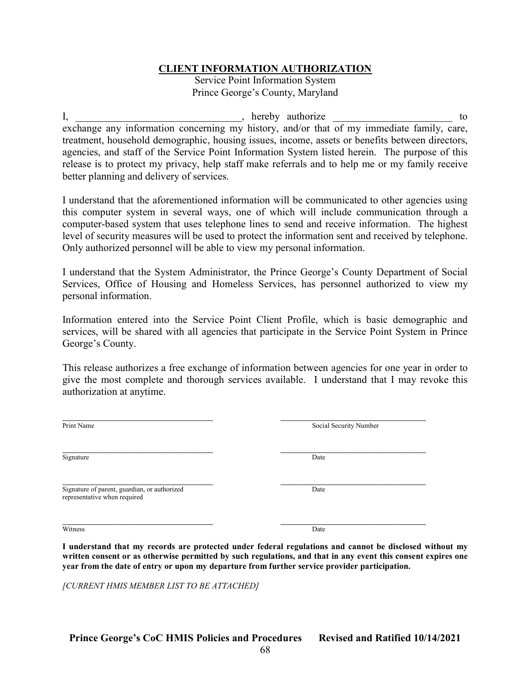#### CLIENT INFORMATION AUTHORIZATION

Service Point Information System Prince George's County, Maryland

I, \_\_\_\_\_\_\_\_\_\_\_\_\_\_\_\_\_\_\_\_\_\_\_\_\_\_\_\_\_, hereby authorize \_\_\_\_\_\_\_\_\_\_\_\_\_\_\_\_\_\_\_\_\_\_\_\_\_\_\_\_ to exchange any information concerning my history, and/or that of my immediate family, care, treatment, household demographic, housing issues, income, assets or benefits between directors, agencies, and staff of the Service Point Information System listed herein. The purpose of this release is to protect my privacy, help staff make referrals and to help me or my family receive better planning and delivery of services.

I understand that the aforementioned information will be communicated to other agencies using this computer system in several ways, one of which will include communication through a computer-based system that uses telephone lines to send and receive information. The highest level of security measures will be used to protect the information sent and received by telephone. Only authorized personnel will be able to view my personal information.

I understand that the System Administrator, the Prince George's County Department of Social Services, Office of Housing and Homeless Services, has personnel authorized to view my personal information.

Information entered into the Service Point Client Profile, which is basic demographic and services, will be shared with all agencies that participate in the Service Point System in Prince George's County.

This release authorizes a free exchange of information between agencies for one year in order to give the most complete and thorough services available. I understand that I may revoke this authorization at anytime.

| Social Security Number |
|------------------------|
| Date                   |
| Date                   |
| Date                   |
|                        |

I understand that my records are protected under federal regulations and cannot be disclosed without my written consent or as otherwise permitted by such regulations, and that in any event this consent expires one year from the date of entry or upon my departure from further service provider participation.

[CURRENT HMIS MEMBER LIST TO BE ATTACHED]